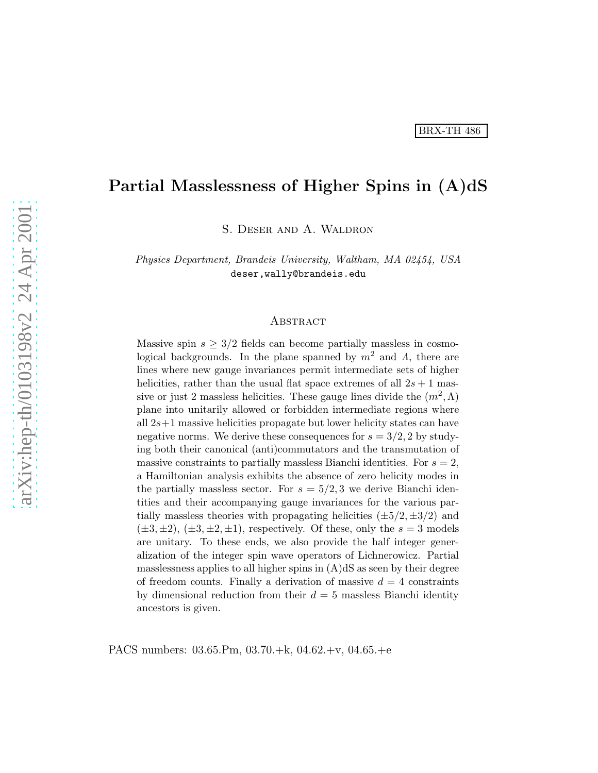# Partial Masslessness of Higher Spins in (A)dS

S. Deser and A. Waldron

Physics Department, Brandeis University, Waltham, MA 02454, USA deser,wally@brandeis.edu

#### **ABSTRACT**

Massive spin  $s \geq 3/2$  fields can become partially massless in cosmological backgrounds. In the plane spanned by  $m^2$  and  $\Lambda$ , there are lines where new gauge invariances permit intermediate sets of higher helicities, rather than the usual flat space extremes of all  $2s + 1$  massive or just 2 massless helicities. These gauge lines divide the  $(m^2, \Lambda)$ plane into unitarily allowed or forbidden intermediate regions where all  $2s+1$  massive helicities propagate but lower helicity states can have negative norms. We derive these consequences for  $s = 3/2, 2$  by studying both their canonical (anti)commutators and the transmutation of massive constraints to partially massless Bianchi identities. For  $s = 2$ , a Hamiltonian analysis exhibits the absence of zero helicity modes in the partially massless sector. For  $s = 5/2, 3$  we derive Bianchi identities and their accompanying gauge invariances for the various partially massless theories with propagating helicities  $(\pm 5/2, \pm 3/2)$  and  $(\pm 3, \pm 2), (\pm 3, \pm 2, \pm 1),$  respectively. Of these, only the  $s = 3$  models are unitary. To these ends, we also provide the half integer generalization of the integer spin wave operators of Lichnerowicz. Partial masslessness applies to all higher spins in  $(A)dS$  as seen by their degree of freedom counts. Finally a derivation of massive  $d = 4$  constraints by dimensional reduction from their  $d = 5$  massless Bianchi identity ancestors is given.

PACS numbers: 03.65.Pm, 03.70.+k, 04.62.+v, 04.65.+e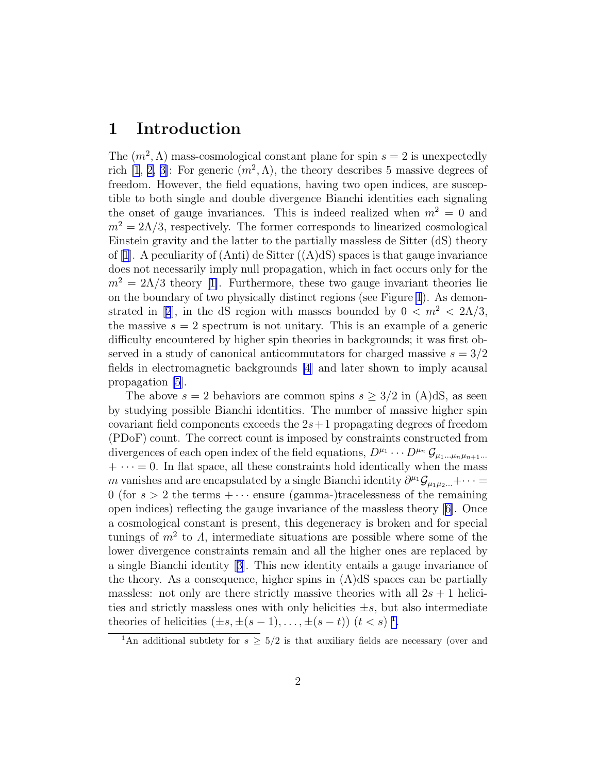## 1 Introduction

The  $(m^2, \Lambda)$  mass-cosmological constant plane for spin  $s = 2$  is unexpectedly rich [\[1](#page-33-0), [2, 3\]](#page-33-0): For generic  $(m^2, \Lambda)$ , the theory describes 5 massive degrees of freedom. However, the field equations, having two open indices, are susceptible to both single and double divergence Bianchi identities each signaling the onset of gauge invariances. This is indeed realized when  $m^2 = 0$  and  $m^2 = 2\Lambda/3$ , respectively. The former corresponds to linearized cosmological Einstein gravity and the latter to the partially massless de Sitter (dS) theory of [\[1](#page-33-0)]. A peculiarity of  $(Anti)$  de Sitter  $((A)dS)$  spaces is that gauge invariance does not necessarily imply null propagation, which in fact occurs only for the  $m^2 = 2\Lambda/3$  $m^2 = 2\Lambda/3$  $m^2 = 2\Lambda/3$  theory [[1\]](#page-33-0). Furthermore, these two gauge invariant theories lie on the boundary of two physically distinct regions (see Figure [1](#page-2-0)). As demon-stratedin [[2](#page-33-0)], in the dS region with masses bounded by  $0 < m^2 < 2\Lambda/3$ , the massive  $s = 2$  spectrum is not unitary. This is an example of a generic difficulty encountered by higher spin theories in backgrounds; it was first observed in a study of canonical anticommutators for charged massive  $s = 3/2$ fields in electromagnetic backgrounds [\[4](#page-33-0)] and later shown to imply acausal propagation [\[5](#page-33-0)].

The above  $s = 2$  behaviors are common spins  $s \geq 3/2$  in (A)dS, as seen by studying possible Bianchi identities. The number of massive higher spin covariant field components exceeds the  $2s+1$  propagating degrees of freedom (PDoF) count. The correct count is imposed by constraints constructed from divergences of each open index of the field equations,  $D^{\mu_1} \cdots D^{\mu_n} \mathcal{G}_{\mu_1 \dots \mu_n \mu_{n+1} \dots}$  $+ \cdots = 0$ . In flat space, all these constraints hold identically when the mass m vanishes and are encapsulated by a single Bianchi identity  $\partial^{\mu_1} \mathcal{G}_{\mu_1 \mu_2 \dots} + \cdots =$ 0 (for  $s > 2$  the terms  $+\cdots$  ensure (gamma-)tracelessness of the remaining open indices) reflecting the gauge invariance of the massless theory [\[6\]](#page-33-0). Once a cosmological constant is present, this degeneracy is broken and for special tunings of  $m^2$  to  $\Lambda$ , intermediate situations are possible where some of the lower divergence constraints remain and all the higher ones are replaced by a single Bianchi identity[[3](#page-33-0)]. This new identity entails a gauge invariance of the theory. As a consequence, higher spins in  $(A)dS$  spaces can be partially massless: not only are there strictly massive theories with all  $2s + 1$  helicities and strictly massless ones with only helicities  $\pm s$ , but also intermediate theories of helicities  $(\pm s, \pm (s-1), \ldots, \pm (s-t))$   $(t < s)$ <sup>1</sup>.

<sup>&</sup>lt;sup>1</sup>An additional subtlety for  $s \geq 5/2$  is that auxiliary fields are necessary (over and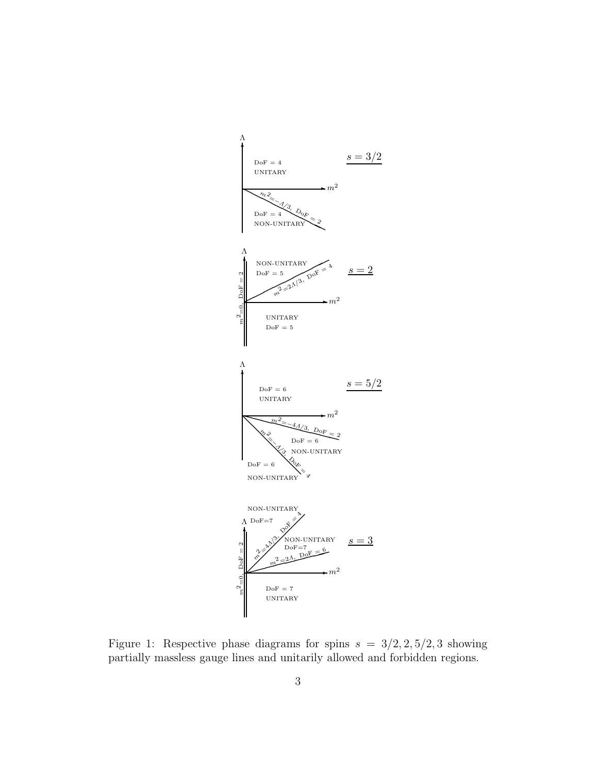<span id="page-2-0"></span>

Figure 1: Respective phase diagrams for spins  $s = 3/2, 2, 5/2, 3$  showing partially massless gauge lines and unitarily allowed and forbidden regions.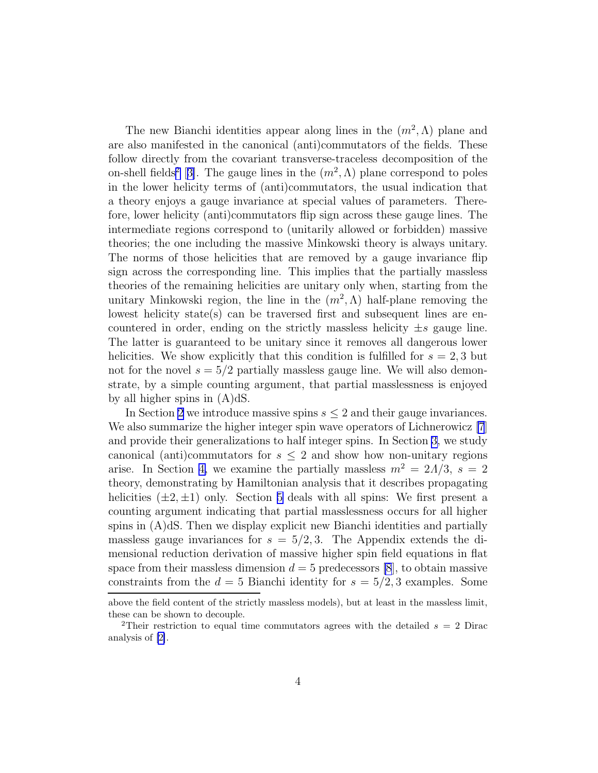The new Bianchi identities appear along lines in the  $(m^2, \Lambda)$  plane and are also manifested in the canonical (anti)commutators of the fields. These follow directly from the covariant transverse-traceless decomposition of the on-shell fields<sup>2</sup> [[3\]](#page-33-0). The gauge lines in the  $(m^2, \Lambda)$  plane correspond to poles in the lower helicity terms of (anti)commutators, the usual indication that a theory enjoys a gauge invariance at special values of parameters. Therefore, lower helicity (anti)commutators flip sign across these gauge lines. The intermediate regions correspond to (unitarily allowed or forbidden) massive theories; the one including the massive Minkowski theory is always unitary. The norms of those helicities that are removed by a gauge invariance flip sign across the corresponding line. This implies that the partially massless theories of the remaining helicities are unitary only when, starting from the unitary Minkowski region, the line in the  $(m^2, \Lambda)$  half-plane removing the lowest helicity state(s) can be traversed first and subsequent lines are encountered in order, ending on the strictly massless helicity  $\pm s$  gauge line. The latter is guaranteed to be unitary since it removes all dangerous lower helicities. We show explicitly that this condition is fulfilled for  $s = 2, 3$  but not for the novel  $s = 5/2$  partially massless gauge line. We will also demonstrate, by a simple counting argument, that partial masslessness is enjoyed by all higher spins in (A)dS.

In Section [2](#page-4-0) we introduce massive spins  $s \leq 2$  and their gauge invariances. We also summarize the higher integer spin wave operators of Lichnerowicz [\[7](#page-33-0)] and provide their generalizations to half integer spins. In Section [3,](#page-7-0) we study canonical (anti)commutators for  $s \leq 2$  and show how non-unitary regions arise. In Section [4,](#page-13-0) we examine the partially massless  $m^2 = 2\Lambda/3$ ,  $s = 2$ theory, demonstrating by Hamiltonian analysis that it describes propagating helicities  $(\pm 2, \pm 1)$  only. Section [5](#page-17-0) deals with all spins: We first present a counting argument indicating that partial masslessness occurs for all higher spins in (A)dS. Then we display explicit new Bianchi identities and partially massless gauge invariances for  $s = 5/2, 3$ . The Appendix extends the dimensional reduction derivation of massive higher spin field equations in flat space from their massless dimension  $d = 5$  predecessors [\[8](#page-33-0)], to obtain massive constraints from the  $d = 5$  Bianchi identity for  $s = 5/2, 3$  examples. Some

above the field content of the strictly massless models), but at least in the massless limit, these can be shown to decouple.

<sup>&</sup>lt;sup>2</sup>Their restriction to equal time commutators agrees with the detailed  $s = 2$  Dirac analysis of [\[2\]](#page-33-0).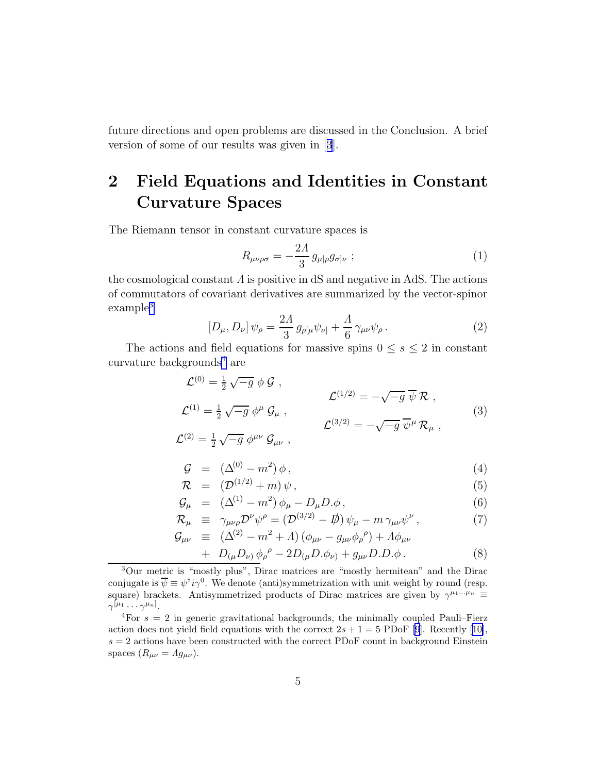<span id="page-4-0"></span>future directions and open problems are discussed in the Conclusion. A brief version of some of our results was given in[[3](#page-33-0)].

# 2 Field Equations and Identities in Constant Curvature Spaces

The Riemann tensor in constant curvature spaces is

$$
R_{\mu\nu\rho\sigma} = -\frac{2\Lambda}{3} g_{\mu[\rho} g_{\sigma]\nu} ; \qquad (1)
$$

the cosmological constant  $\Lambda$  is positive in dS and negative in AdS. The actions of commutators of covariant derivatives are summarized by the vector-spinor example<sup>3</sup>

$$
[D_{\mu}, D_{\nu}] \psi_{\rho} = \frac{2\Lambda}{3} g_{\rho[\mu} \psi_{\nu]} + \frac{\Lambda}{6} \gamma_{\mu\nu} \psi_{\rho}.
$$
 (2)

The actions and field equations for massive spins  $0 \leq s \leq 2$  in constant curvature backgrounds<sup>4</sup> are

$$
\mathcal{L}^{(0)} = \frac{1}{2} \sqrt{-g} \phi \mathcal{G} ,
$$
\n
$$
\mathcal{L}^{(1)} = \frac{1}{2} \sqrt{-g} \phi^{\mu} \mathcal{G}_{\mu} ,
$$
\n
$$
\mathcal{L}^{(2)} = \frac{1}{2} \sqrt{-g} \phi^{\mu} \mathcal{G}_{\mu} ,
$$
\n
$$
\mathcal{L}^{(3/2)} = -\sqrt{-g} \overline{\psi}^{\mu} \mathcal{R}_{\mu} ,
$$
\n
$$
(3)
$$
\n
$$
\mathcal{L}^{(2)} = \frac{1}{2} \sqrt{-g} \phi^{\mu\nu} \mathcal{G}_{\mu\nu} ,
$$

$$
\mathcal{G} = (\Delta^{(0)} - m^2) \phi, \qquad (4)
$$

$$
\mathcal{R} = (\mathcal{D}^{(1/2)} + m) \psi, \qquad (5)
$$

$$
\mathcal{G}_{\mu} = (\Delta^{(1)} - m^2) \phi_{\mu} - D_{\mu} D_{\nu} \phi, \tag{6}
$$

$$
\mathcal{R}_{\mu} \equiv \gamma_{\mu\nu\rho} \mathcal{D}^{\nu} \psi^{\rho} = (\mathcal{D}^{(3/2)} - \mathcal{D}) \psi_{\mu} - m \gamma_{\mu\nu} \psi^{\nu} , \qquad (7)
$$

$$
\mathcal{G}_{\mu\nu} \equiv (\Delta^{(2)} - m^2 + \Lambda) (\phi_{\mu\nu} - g_{\mu\nu} \phi_{\rho}{}^{\rho}) + \Lambda \phi_{\mu\nu}
$$

+ 
$$
D_{(\mu}D_{\nu)}\phi_{\rho}^{\rho} - 2D_{(\mu}D.\phi_{\nu)} + g_{\mu\nu}D.D.\phi.
$$
 (8)

<sup>3</sup>Our metric is "mostly plus", Dirac matrices are "mostly hermitean" and the Dirac conjugate is  $\overline{\psi} \equiv \psi^{\dagger} i \gamma^{0}$ . We denote (anti)symmetrization with unit weight by round (resp. square) brackets. Antisymmetrized products of Dirac matrices are given by  $\gamma^{\mu_1...\mu_n} \equiv$  $\gamma^{[\mu_1} \cdots \gamma^{\mu_n]}$ .

<sup>&</sup>lt;sup>4</sup>For  $s = 2$  in generic gravitational backgrounds, the minimally coupled Pauli–Fierz actiondoes not yield field equations with the correct  $2s + 1 = 5$  PDoF [\[9\]](#page-34-0). Recently [[10\]](#page-34-0),  $s = 2$  actions have been constructed with the correct PDoF count in background Einstein spaces  $(R_{\mu\nu} = Ag_{\mu\nu}).$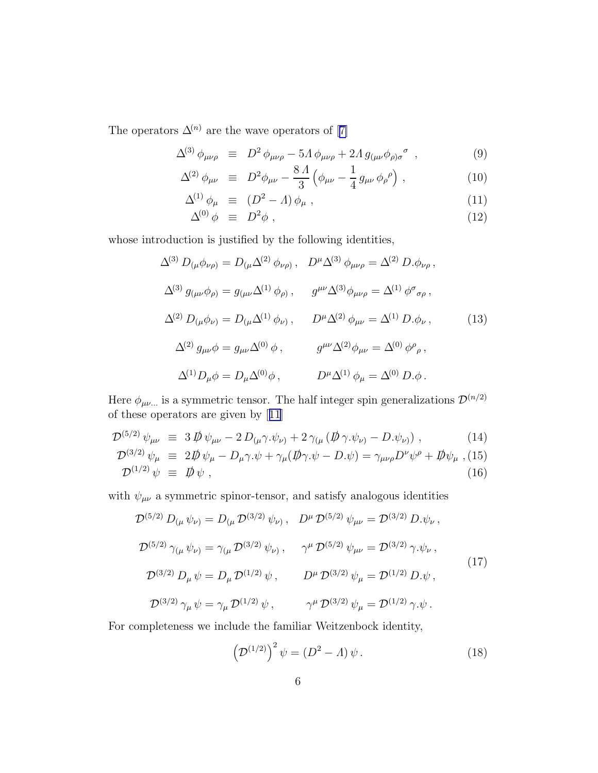Theoperators  $\Delta^{(n)}$  are the wave operators of [[7\]](#page-33-0)

$$
\Delta^{(3)}\,\phi_{\mu\nu\rho} \equiv D^2\,\phi_{\mu\nu\rho} - 5\Lambda\,\phi_{\mu\nu\rho} + 2\Lambda\,g_{(\mu\nu}\phi_{\rho)\sigma}{}^{\sigma} \,,\tag{9}
$$

$$
\Delta^{(2)} \phi_{\mu\nu} \equiv D^2 \phi_{\mu\nu} - \frac{8 \Lambda}{3} \left( \phi_{\mu\nu} - \frac{1}{4} g_{\mu\nu} \phi_{\rho}{}^{\rho} \right), \qquad (10)
$$

$$
\Delta^{(1)} \phi_{\mu} \equiv (D^2 - A) \phi_{\mu} , \qquad (11)
$$

$$
\Delta^{(0)} \phi \equiv D^2 \phi \tag{12}
$$

whose introduction is justified by the following identities,

$$
\Delta^{(3)} D_{(\mu}\phi_{\nu\rho)} = D_{(\mu}\Delta^{(2)} \phi_{\nu\rho)}, \quad D^{\mu}\Delta^{(3)} \phi_{\mu\nu\rho} = \Delta^{(2)} D. \phi_{\nu\rho},
$$
  

$$
\Delta^{(3)} g_{(\mu\nu}\phi_{\rho)} = g_{(\mu\nu}\Delta^{(1)} \phi_{\rho)}, \qquad g^{\mu\nu}\Delta^{(3)} \phi_{\mu\nu\rho} = \Delta^{(1)} \phi^{\sigma}{}_{\sigma\rho},
$$
  

$$
\Delta^{(2)} D_{(\mu}\phi_{\nu)} = D_{(\mu}\Delta^{(1)} \phi_{\nu)}, \qquad D^{\mu}\Delta^{(2)} \phi_{\mu\nu} = \Delta^{(1)} D. \phi_{\nu},
$$
  

$$
\Delta^{(2)} g_{\mu\nu}\phi = g_{\mu\nu}\Delta^{(0)} \phi, \qquad g^{\mu\nu}\Delta^{(2)} \phi_{\mu\nu} = \Delta^{(0)} \phi^{\rho}{}_{\rho},
$$
  

$$
\Delta^{(1)} D_{\mu}\phi = D_{\mu}\Delta^{(0)} \phi, \qquad D^{\mu}\Delta^{(1)} \phi_{\mu} = \Delta^{(0)} D. \phi.
$$
 (13)

Here  $\phi_{\mu\nu\dots}$  is a symmetric tensor. The half integer spin generalizations  $\mathcal{D}^{(n/2)}$ of these operators are given by[[11](#page-34-0)]

$$
\mathcal{D}^{(5/2)} \psi_{\mu\nu} \equiv 3 \, \not{\!\!D} \psi_{\mu\nu} - 2 \, D_{(\mu} \gamma . \psi_{\nu)} + 2 \, \gamma_{(\mu} \left( \not{\!\!D} \gamma . \psi_{\nu)} - D . \psi_{\nu} \right) , \tag{14}
$$

$$
\mathcal{D}^{(3/2)} \psi_{\mu} \equiv 2\rlap{\,/}D \psi_{\mu} - D_{\mu}\gamma \psi + \gamma_{\mu}(\rlap{\,/}D \gamma \psi - D \psi) = \gamma_{\mu\nu\rho}D^{\nu}\psi^{\rho} + \rlap{\,/}D \psi_{\mu} , \text{(15)}
$$
\n
$$
\mathcal{D}^{(1/2)} \psi \equiv \rlap{\,/}D \psi , \qquad (16)
$$

with  $\psi_{\mu\nu}$  a symmetric spinor-tensor, and satisfy analogous identities

$$
\mathcal{D}^{(5/2)} D_{(\mu} \psi_{\nu)} = D_{(\mu} \mathcal{D}^{(3/2)} \psi_{\nu)}, \quad D^{\mu} \mathcal{D}^{(5/2)} \psi_{\mu\nu} = \mathcal{D}^{(3/2)} D_{\cdot} \psi_{\nu}, \n\mathcal{D}^{(5/2)} \gamma_{(\mu} \psi_{\nu)} = \gamma_{(\mu} \mathcal{D}^{(3/2)} \psi_{\nu)}, \qquad \gamma^{\mu} \mathcal{D}^{(5/2)} \psi_{\mu\nu} = \mathcal{D}^{(3/2)} \gamma_{\cdot} \psi_{\nu}, \n\mathcal{D}^{(3/2)} D_{\mu} \psi = D_{\mu} \mathcal{D}^{(1/2)} \psi, \qquad D^{\mu} \mathcal{D}^{(3/2)} \psi_{\mu} = \mathcal{D}^{(1/2)} D_{\cdot} \psi, \n\mathcal{D}^{(3/2)} \gamma_{\mu} \psi = \gamma_{\mu} \mathcal{D}^{(1/2)} \psi, \qquad \gamma^{\mu} \mathcal{D}^{(3/2)} \psi_{\mu} = \mathcal{D}^{(1/2)} \gamma_{\cdot} \psi.
$$
\n(17)

For completeness we include the familiar Weitzenbock identity,

$$
\left(\mathcal{D}^{(1/2)}\right)^2 \psi = \left(D^2 - A\right)\psi. \tag{18}
$$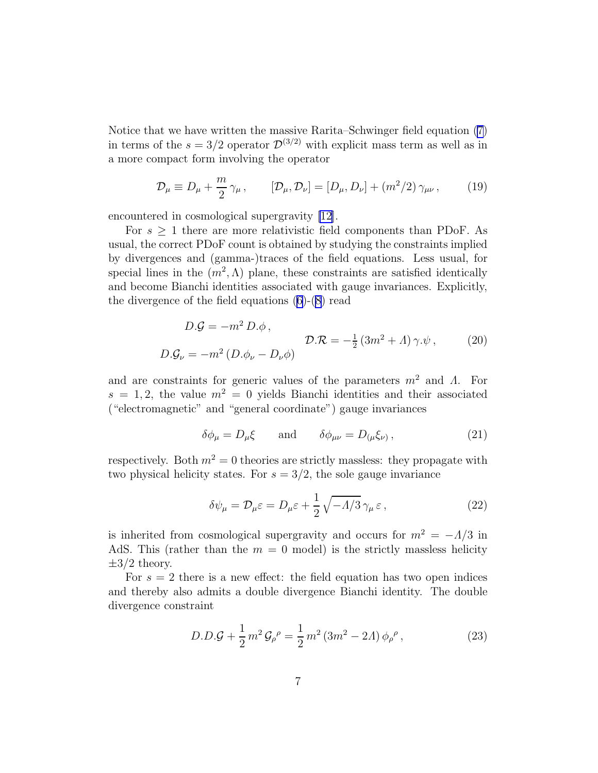<span id="page-6-0"></span>Notice that we have written the massive Rarita–Schwinger field equation [\(7\)](#page-4-0) in terms of the  $s = 3/2$  operator  $\mathcal{D}^{(3/2)}$  with explicit mass term as well as in a more compact form involving the operator

$$
\mathcal{D}_{\mu} \equiv D_{\mu} + \frac{m}{2} \gamma_{\mu}, \qquad [\mathcal{D}_{\mu}, \mathcal{D}_{\nu}] = [D_{\mu}, D_{\nu}] + (m^2/2) \gamma_{\mu\nu}, \qquad (19)
$$

encountered in cosmological supergravity [\[12](#page-34-0)].

For  $s \geq 1$  there are more relativistic field components than PDoF. As usual, the correct PDoF count is obtained by studying the constraints implied by divergences and (gamma-)traces of the field equations. Less usual, for special lines in the  $(m^2, \Lambda)$  plane, these constraints are satisfied identically and become Bianchi identities associated with gauge invariances. Explicitly, the divergence of the field equations [\(6\)](#page-4-0)-[\(8\)](#page-4-0) read

$$
D.G = -m^2 D.\phi,
$$
  
\n
$$
D.G_{\nu} = -m^2 (D.\phi_{\nu} - D_{\nu}\phi)
$$
  
\n
$$
D.R = -\frac{1}{2} (3m^2 + \Lambda) \gamma . \psi,
$$
 (20)

and are constraints for generic values of the parameters  $m^2$  and  $\Lambda$ . For  $s = 1, 2$ , the value  $m^2 = 0$  yields Bianchi identities and their associated ("electromagnetic" and "general coordinate") gauge invariances

$$
\delta\phi_{\mu} = D_{\mu}\xi \qquad \text{and} \qquad \delta\phi_{\mu\nu} = D_{(\mu}\xi_{\nu)}\,,\tag{21}
$$

respectively. Both  $m^2 = 0$  theories are strictly massless: they propagate with two physical helicity states. For  $s = 3/2$ , the sole gauge invariance

$$
\delta\psi_{\mu} = \mathcal{D}_{\mu}\varepsilon = D_{\mu}\varepsilon + \frac{1}{2}\sqrt{-\Lambda/3}\,\gamma_{\mu}\,\varepsilon\,,\tag{22}
$$

is inherited from cosmological supergravity and occurs for  $m^2 = -\Lambda/3$  in AdS. This (rather than the  $m = 0$  model) is the strictly massless helicity  $\pm 3/2$  theory.

For  $s = 2$  there is a new effect: the field equation has two open indices and thereby also admits a double divergence Bianchi identity. The double divergence constraint

$$
D.D.G + \frac{1}{2}m^2 G_{\rho}{}^{\rho} = \frac{1}{2}m^2 (3m^2 - 2A) \phi_{\rho}{}^{\rho} , \qquad (23)
$$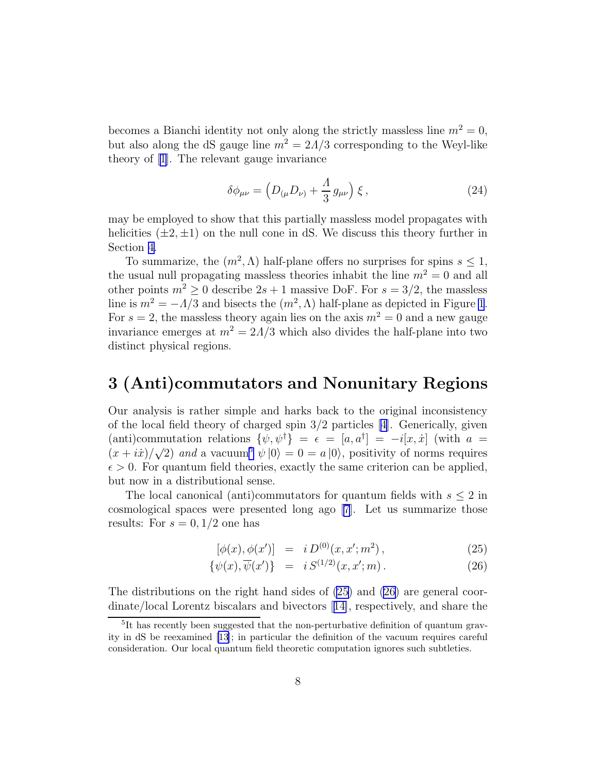<span id="page-7-0"></span>becomes a Bianchi identity not only along the strictly massless line  $m^2 = 0$ , but also along the dS gauge line  $m^2 = 2\Lambda/3$  corresponding to the Weyl-like theory of [\[1](#page-33-0)]. The relevant gauge invariance

$$
\delta\phi_{\mu\nu} = \left(D_{(\mu}D_{\nu)} + \frac{A}{3}g_{\mu\nu}\right)\xi\,,\tag{24}
$$

may be employed to show that this partially massless model propagates with helicities  $(\pm 2, \pm 1)$  on the null cone in dS. We discuss this theory further in Section [4.](#page-13-0)

To summarize, the  $(m^2, \Lambda)$  half-plane offers no surprises for spins  $s \leq 1$ , the usual null propagating massless theories inhabit the line  $m^2 = 0$  and all other points  $m^2 \geq 0$  describe  $2s + 1$  massive DoF. For  $s = 3/2$ , the massless line is  $m^2 = -\Lambda/3$  and bisects the  $(m^2, \Lambda)$  half-plane as depicted in Figure [1](#page-2-0). For  $s = 2$ , the massless theory again lies on the axis  $m^2 = 0$  and a new gauge invariance emerges at  $m^2 = 2\Lambda/3$  which also divides the half-plane into two distinct physical regions.

## 3 (Anti)commutators and Nonunitary Regions

Our analysis is rather simple and harks back to the original inconsistency of the local field theory of charged spin 3/2 particles [\[4\]](#page-33-0). Generically, given (anti)commutation relations  $\{\psi, \psi^{\dagger}\} = \epsilon = [a, a^{\dagger}] = -i[x, \dot{x}]$  (with  $a =$  $(x + i\dot{x})/\sqrt{2}$  and a vacuum<sup>5</sup>  $\psi |0\rangle = 0 = a |0\rangle$ , positivity of norms requires  $\epsilon > 0$ . For quantum field theories, exactly the same criterion can be applied, but now in a distributional sense.

The local canonical (anti)commutators for quantum fields with  $s \leq 2$  in cosmological spaces were presented long ago [\[7](#page-33-0)]. Let us summarize those results: For  $s = 0, 1/2$  one has

$$
[\phi(x), \phi(x')] = i D^{(0)}(x, x'; m^2), \qquad (25)
$$

$$
\{\psi(x), \overline{\psi}(x')\} = i S^{(1/2)}(x, x'; m). \tag{26}
$$

The distributions on the right hand sides of (25) and (26) are general coordinate/local Lorentz biscalars and bivectors[[14\]](#page-34-0), respectively, and share the

<sup>&</sup>lt;sup>5</sup>It has recently been suggested that the non-perturbative definition of quantum gravity in dS be reexamined [\[13](#page-34-0)]; in particular the definition of the vacuum requires careful consideration. Our local quantum field theoretic computation ignores such subtleties.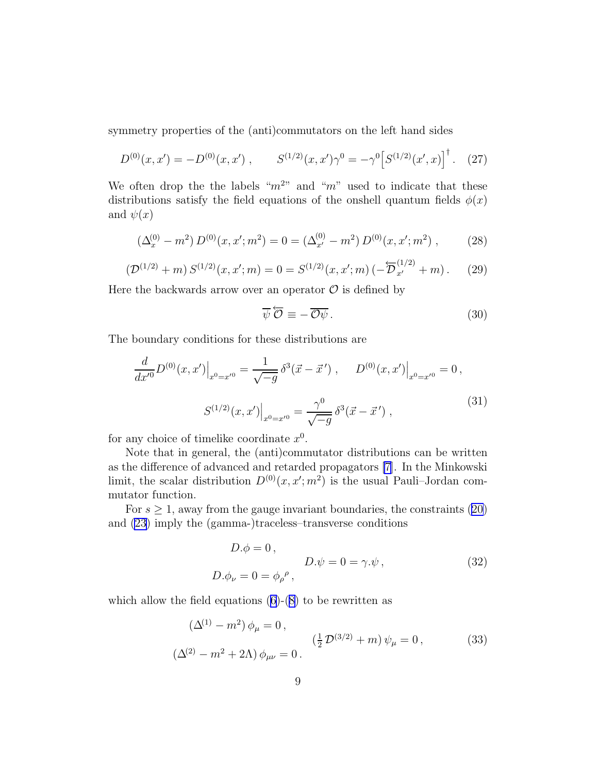<span id="page-8-0"></span>symmetry properties of the (anti)commutators on the left hand sides

$$
D^{(0)}(x, x') = -D^{(0)}(x, x') , \qquad S^{(1/2)}(x, x')\gamma^0 = -\gamma^0 \left[ S^{(1/2)}(x', x) \right]^\dagger . \tag{27}
$$

We often drop the the labels " $m^{2}$ " and "m" used to indicate that these distributions satisfy the field equations of the onshell quantum fields  $\phi(x)$ and  $\psi(x)$ 

$$
\left(\Delta_x^{(0)} - m^2\right) D^{(0)}(x, x'; m^2) = 0 = \left(\Delta_{x'}^{(0)} - m^2\right) D^{(0)}(x, x'; m^2) ,\qquad (28)
$$

$$
\left(\mathcal{D}^{(1/2)} + m\right) S^{(1/2)}(x, x'; m) = 0 = S^{(1/2)}(x, x'; m) \left(-\overleftarrow{\mathcal{D}}_{x'}^{(1/2)} + m\right). \tag{29}
$$

Here the backwards arrow over an operator  $\mathcal O$  is defined by

$$
\overline{\psi}\,\overleftarrow{\mathcal{O}}\equiv-\overline{\mathcal{O}\psi}\,. \tag{30}
$$

The boundary conditions for these distributions are

$$
\frac{d}{dx'}D^{(0)}(x,x')\Big|_{x^0=x'^0} = \frac{1}{\sqrt{-g}}\delta^3(\vec{x}-\vec{x}') , \quad D^{(0)}(x,x')\Big|_{x^0=x'^0} = 0 ,
$$
\n
$$
S^{(1/2)}(x,x')\Big|_{x^0=x'^0} = \frac{\gamma^0}{\sqrt{-g}}\delta^3(\vec{x}-\vec{x}') ,
$$
\n(31)

for any choice of timelike coordinate  $x^0$ .

Note that in general, the (anti)commutator distributions can be written as the difference of advanced and retarded propagators [\[7](#page-33-0)]. In the Minkowski limit, the scalar distribution  $D^{(0)}(x, x'; m^2)$  is the usual Pauli–Jordan commutator function.

For  $s \geq 1$ , away from the gauge invariant boundaries, the constraints [\(20\)](#page-6-0) and [\(23\)](#page-6-0) imply the (gamma-)traceless–transverse conditions

$$
D.\phi = 0 ,
$$
  

$$
D.\phi_{\nu} = 0 = \phi_{\rho}{}^{\rho} ,
$$
  

$$
(32)
$$

which allow the field equations  $(6)-(8)$  $(6)-(8)$  $(6)-(8)$  to be rewritten as

$$
(\Delta^{(1)} - m^2) \phi_{\mu} = 0, (\frac{1}{2} \mathcal{D}^{(3/2)} + m) \psi_{\mu} = 0, (\Delta^{(2)} - m^2 + 2\Lambda) \phi_{\mu\nu} = 0.
$$
 (33)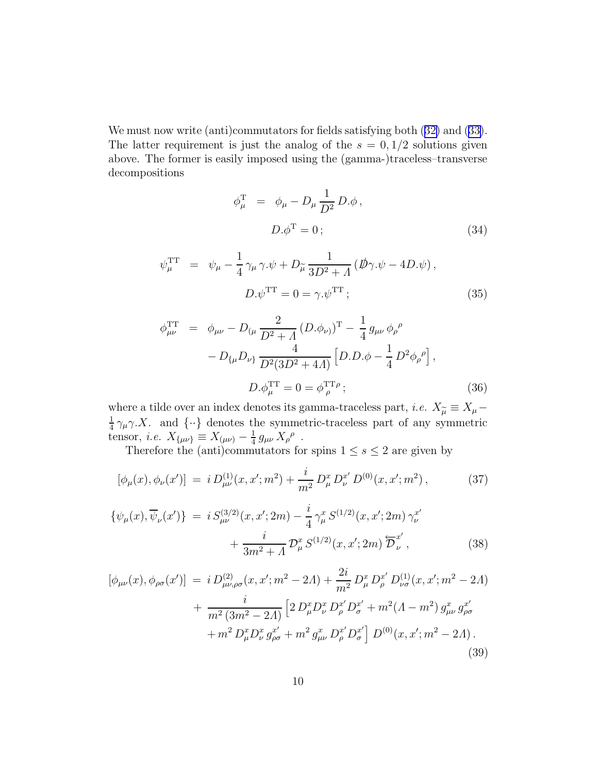<span id="page-9-0"></span>We must now write (anti)commutators for fields satisfying both  $(32)$  $(32)$  and  $(33)$  $(33)$ . The latter requirement is just the analog of the  $s = 0, 1/2$  solutions given above. The former is easily imposed using the (gamma-)traceless–transverse decompositions

$$
\phi_{\mu}^{\mathrm{T}} = \phi_{\mu} - D_{\mu} \frac{1}{D^2} D. \phi ,
$$
  

$$
D. \phi^{\mathrm{T}} = 0 ;
$$
 (34)

$$
\psi_{\mu}^{\text{TT}} = \psi_{\mu} - \frac{1}{4} \gamma_{\mu} \gamma . \psi + D_{\tilde{\mu}} \frac{1}{3D^2 + \Lambda} \left( \vec{D} \gamma . \psi - 4D . \psi \right),
$$
  

$$
D . \psi^{\text{TT}} = 0 = \gamma . \psi^{\text{TT}} ; \qquad (35)
$$

$$
\phi_{\mu\nu}^{\text{TT}} = \phi_{\mu\nu} - D_{(\mu} \frac{2}{D^2 + A} (D. \phi_{\nu)})^{\text{T}} - \frac{1}{4} g_{\mu\nu} \phi_{\rho}^{\rho} - D_{\{\mu} D_{\nu\}} \frac{4}{D^2 (3D^2 + 4A)} \left[ D. D. \phi - \frac{1}{4} D^2 \phi_{\rho}^{\rho} \right],
$$
  

$$
D. \phi_{\mu}^{\text{TT}} = 0 = \phi_{\rho}^{\text{TT}} \rho ;
$$
 (36)

where a tilde over an index denotes its gamma-traceless part, *i.e.*  $X_{\tilde{\mu}} \equiv X_{\mu} -$ <br>=  $\frac{1}{2}$  x, x, and  $\frac{1}{2}$  denotes the symmetric traceless part of our symmetric 1  $\frac{1}{4} \gamma_{\mu} \gamma \cdot X$ . and  $\{\cdot\}$  denotes the symmetric-traceless part of any symmetric tensor, *i.e.*  $X_{\{\mu\nu\}} \equiv X_{(\mu\nu)} - \frac{1}{4}$  $\frac{1}{4} g_{\mu\nu} X_{\rho}{}^{\rho}$ .

Therefore the (anti)commutators for spins  $1 \leq s \leq 2$  are given by

$$
[\phi_{\mu}(x), \phi_{\nu}(x')] = i D_{\mu\nu}^{(1)}(x, x'; m^2) + \frac{i}{m^2} D_{\mu}^x D_{\nu}^{x'} D^{(0)}(x, x'; m^2), \qquad (37)
$$

$$
\{\psi_{\mu}(x), \overline{\psi}_{\nu}(x')\} = i S_{\mu\nu}^{(3/2)}(x, x'; 2m) - \frac{i}{4} \gamma_{\mu}^{x} S^{(1/2)}(x, x'; 2m) \gamma_{\nu}^{x'} + \frac{i}{3m^{2} + \Lambda} \mathcal{D}_{\mu}^{x} S^{(1/2)}(x, x'; 2m) \overleftarrow{\mathcal{D}}_{\nu}^{x'},
$$
\n(38)

$$
[\phi_{\mu\nu}(x), \phi_{\rho\sigma}(x')] = i D^{(2)}_{\mu\nu,\rho\sigma}(x, x'; m^2 - 2A) + \frac{2i}{m^2} D^x_{\mu} D^x_{\rho} D^{(1)}_{\nu\sigma}(x, x'; m^2 - 2A) + \frac{i}{m^2 (3m^2 - 2A)} \left[ 2 D^x_{\mu} D^x_{\nu} D^x_{\rho} D^x_{\sigma}' + m^2 (A - m^2) g^x_{\mu\nu} g^x_{\rho\sigma} + m^2 D^x_{\mu} D^x_{\nu} g^x_{\rho\sigma} + m^2 g^x_{\mu\nu} D^x_{\rho} D^x_{\sigma} \right] D^{(0)}(x, x'; m^2 - 2A).
$$
\n(39)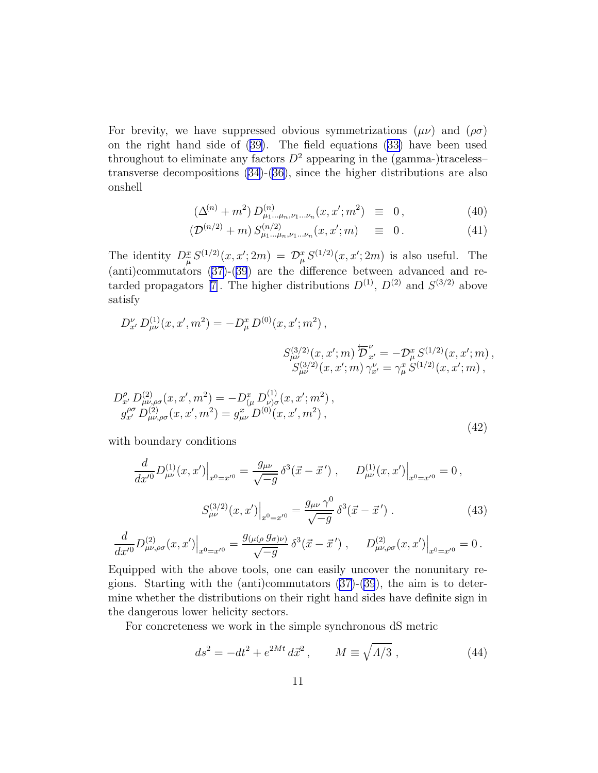<span id="page-10-0"></span>For brevity, we have suppressed obvious symmetrizations  $(\mu\nu)$  and  $(\rho\sigma)$ on the right hand side of ([39\)](#page-9-0). The field equations ([33\)](#page-8-0) have been used throughout to eliminate any factors  $D^2$  appearing in the (gamma-)traceless– transverse decompositions [\(34\)](#page-9-0)-[\(36\)](#page-9-0), since the higher distributions are also onshell

$$
(\Delta^{(n)} + m^2) D^{(n)}_{\mu_1 \dots \mu_n, \nu_1 \dots \nu_n}(x, x'; m^2) \equiv 0, \qquad (40)
$$

$$
\left(\mathcal{D}^{(n/2)} + m\right) S^{(n/2)}_{\mu_1 \dots \mu_n, \nu_1 \dots \nu_n}(x, x'; m) \quad \equiv \quad 0 \,.
$$

The identity  $D_{\tilde{\mu}}^x S^{(1/2)}(x, x'; 2m) = \mathcal{D}_{\mu}^x S^{(1/2)}(x, x'; 2m)$  is also useful. The (anti)commutators ([37\)](#page-9-0)-([39](#page-9-0)) are the difference between advanced and re-tardedpropagators [[7\]](#page-33-0). The higher distributions  $D^{(1)}$ ,  $D^{(2)}$  and  $S^{(3/2)}$  above satisfy

$$
D_{x'}^{\nu} D_{\mu\nu}^{(1)}(x, x', m^2) = -D_{\mu}^{x} D^{(0)}(x, x'; m^2),
$$
  

$$
S_{\mu\nu}^{(3/2)}(x, x'; m) \overleftarrow{D}_{x'}^{\nu} = -D_{\mu}^{x} S^{(1/2)}(x, x'; m),
$$
  

$$
S_{\mu\nu}^{(3/2)}(x, x'; m) \gamma_{x'}^{\nu} = \gamma_{\mu}^{x} S^{(1/2)}(x, x'; m),
$$

$$
D_{x'}^{\rho} D_{\mu\nu,\rho\sigma}^{(2)}(x, x', m^2) = -D_{(\mu}^x D_{\nu)\sigma}^{(1)}(x, x'; m^2),
$$
  
\n
$$
g_{x'}^{\rho\sigma} D_{\mu\nu,\rho\sigma}^{(2)}(x, x', m^2) = g_{\mu\nu}^x D^{(0)}(x, x', m^2),
$$
  
\n(42)

with boundary conditions

$$
\frac{d}{dx'}D_{\mu\nu}^{(1)}(x,x')\Big|_{x^0=x'^0} = \frac{g_{\mu\nu}}{\sqrt{-g}}\delta^3(\vec{x}-\vec{x}') , \qquad D_{\mu\nu}^{(1)}(x,x')\Big|_{x^0=x'^0} = 0 ,
$$
\n
$$
S_{\mu\nu}^{(3/2)}(x,x')\Big|_{x^0=x'^0} = \frac{g_{\mu\nu}\gamma^0}{\sqrt{-g}}\delta^3(\vec{x}-\vec{x}') . \tag{43}
$$

$$
\frac{d}{dx'^0}D^{(2)}_{\mu\nu,\rho\sigma}(x,x')\Big|_{x^0=x'^0}=\frac{g_{(\mu(\rho}\,g_{\sigma)\nu)}}{\sqrt{-g}}\,\delta^3(\vec x-\vec x'\,)\,\,,\quad \ \left.D^{(2)}_{\mu\nu,\rho\sigma}(x,x')\right|_{x^0=x'^0}=0\,.
$$

Equipped with the above tools, one can easily uncover the nonunitary regions. Starting with the (anti)commutators  $(37)-(39)$  $(37)-(39)$  $(37)-(39)$  $(37)-(39)$  $(37)-(39)$ , the aim is to determine whether the distributions on their right hand sides have definite sign in the dangerous lower helicity sectors.

For concreteness we work in the simple synchronous dS metric

$$
ds^{2} = -dt^{2} + e^{2Mt} d\vec{x}^{2}, \qquad M \equiv \sqrt{A/3}, \qquad (44)
$$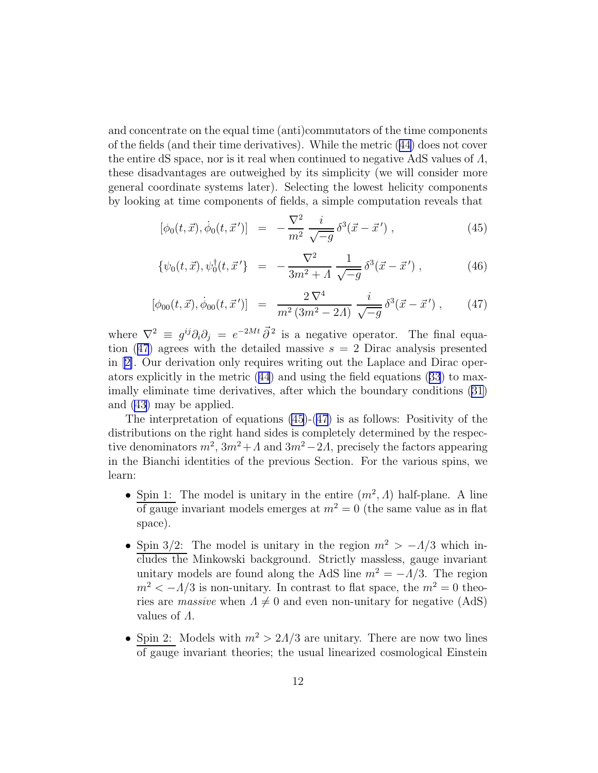and concentrate on the equal time (anti)commutators of the time components of the fields (and their time derivatives). While the metric ([44\)](#page-10-0) does not cover the entire dS space, nor is it real when continued to negative AdS values of  $\Lambda$ , these disadvantages are outweighed by its simplicity (we will consider more general coordinate systems later). Selecting the lowest helicity components by looking at time components of fields, a simple computation reveals that

$$
[\phi_0(t, \vec{x}), \dot{\phi}_0(t, \vec{x}')] = -\frac{\nabla^2}{m^2} \frac{i}{\sqrt{-g}} \delta^3(\vec{x} - \vec{x}') , \qquad (45)
$$

$$
\{\psi_0(t,\vec{x}),\psi_0^{\dagger}(t,\vec{x}')\} = -\frac{\nabla^2}{3m^2 + A} \frac{1}{\sqrt{-g}} \delta^3(\vec{x} - \vec{x}') , \qquad (46)
$$

$$
[\phi_{00}(t,\vec{x}), \dot{\phi}_{00}(t,\vec{x}')] = \frac{2\,\nabla^4}{m^2\,(3m^2-2\Lambda)} \, \frac{i}{\sqrt{-g}} \,\delta^3(\vec{x}-\vec{x}') \,, \qquad (47)
$$

where  $\nabla^2 \equiv g^{ij}\partial_i\partial_j = e^{-2Mt}\vec{\partial}^2$  is a negative operator. The final equation (47) agrees with the detailed massive  $s = 2$  Dirac analysis presented in[[2\]](#page-33-0). Our derivation only requires writing out the Laplace and Dirac operators explicitly in the metric ([44](#page-10-0)) and using the field equations ([33](#page-8-0)) to maximally eliminate time derivatives, after which the boundary conditions [\(31\)](#page-8-0) and [\(43\)](#page-10-0) may be applied.

The interpretation of equations (45)-(47) is as follows: Positivity of the distributions on the right hand sides is completely determined by the respective denominators  $m^2$ ,  $3m^2 + A$  and  $3m^2 - 2A$ , precisely the factors appearing in the Bianchi identities of the previous Section. For the various spins, we learn:

- Spin 1: The model is unitary in the entire  $(m^2, \Lambda)$  half-plane. A line of gauge invariant models emerges at  $m^2 = 0$  (the same value as in flat space).
- Spin 3/2: The model is unitary in the region  $m^2 > -\Lambda/3$  which includes the Minkowski background. Strictly massless, gauge invariant unitary models are found along the AdS line  $m^2 = -\Lambda/3$ . The region  $m^2 < -\Lambda/3$  is non-unitary. In contrast to flat space, the  $m^2 = 0$  theories are massive when  $\Lambda \neq 0$  and even non-unitary for negative (AdS) values of Λ.
- Spin 2: Models with  $m^2 > 2\Lambda/3$  are unitary. There are now two lines of gauge invariant theories; the usual linearized cosmological Einstein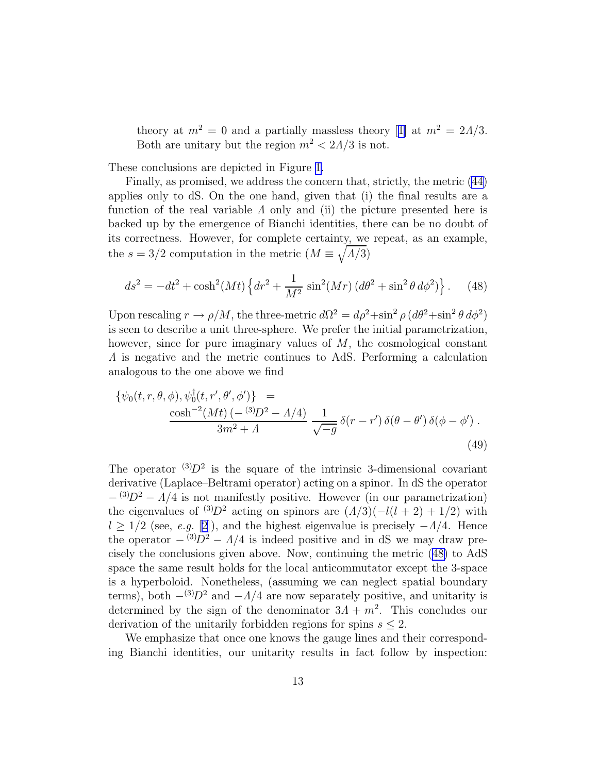theoryat  $m^2 = 0$  and a partially massless theory [[1\]](#page-33-0) at  $m^2 = 2\Lambda/3$ . Both are unitary but the region  $m^2 < 2\Lambda/3$  is not.

These conclusions are depicted in Figure [1.](#page-2-0)

Finally, as promised, we address the concern that, strictly, the metric [\(44\)](#page-10-0) applies only to dS. On the one hand, given that (i) the final results are a function of the real variable  $\Lambda$  only and (ii) the picture presented here is backed up by the emergence of Bianchi identities, there can be no doubt of its correctness. However, for complete certainty, we repeat, as an example, the  $s = 3/2$  computation in the metric  $(M \equiv \sqrt{\Lambda/3})$ 

$$
ds^{2} = -dt^{2} + \cosh^{2}(Mt) \left\{ dr^{2} + \frac{1}{M^{2}} \sin^{2}(Mr) \left( d\theta^{2} + \sin^{2}\theta \, d\phi^{2} \right) \right\}.
$$
 (48)

Upon rescaling  $r \to \rho/M$ , the three-metric  $d\Omega^2 = d\rho^2 + \sin^2 \rho (d\theta^2 + \sin^2 \theta d\phi^2)$ is seen to describe a unit three-sphere. We prefer the initial parametrization, however, since for pure imaginary values of  $M$ , the cosmological constant Λ is negative and the metric continues to AdS. Performing a calculation analogous to the one above we find

$$
\begin{aligned}\n\{\psi_0(t, r, \theta, \phi), \psi_0^{\dagger}(t, r', \theta', \phi')\} &= \\
\frac{\cosh^{-2}(Mt) \left(-\frac{(3D^2 - A/4)}{3m^2 + A}\right)}{\sqrt{-g}} \frac{1}{\sqrt{-g}} \delta(r - r') \delta(\theta - \theta') \delta(\phi - \phi').\n\end{aligned} \tag{49}
$$

The operator  ${}^{(3)}D^2$  is the square of the intrinsic 3-dimensional covariant derivative (Laplace–Beltrami operator) acting on a spinor. In dS the operator  $-$  (3) $D^2 - A/4$  is not manifestly positive. However (in our parametrization) the eigenvalues of  $(3)D^2$  acting on spinors are  $(\Lambda/3)(-l(l+2)+1/2)$  with  $l \geq 1/2$  (see, e.g. [[2\]](#page-33-0)), and the highest eigenvalue is precisely  $-\Lambda/4$ . Hence the operator  $-\frac{(3)}{D^2} - \frac{\Lambda}{4}$  is indeed positive and in dS we may draw precisely the conclusions given above. Now, continuing the metric (48) to AdS space the same result holds for the local anticommutator except the 3-space is a hyperboloid. Nonetheless, (assuming we can neglect spatial boundary terms), both  $-\frac{(3)}{D^2}$  and  $-\frac{A}{4}$  are now separately positive, and unitarity is determined by the sign of the denominator  $3\Lambda + m^2$ . This concludes our derivation of the unitarily forbidden regions for spins  $s \leq 2$ .

We emphasize that once one knows the gauge lines and their corresponding Bianchi identities, our unitarity results in fact follow by inspection: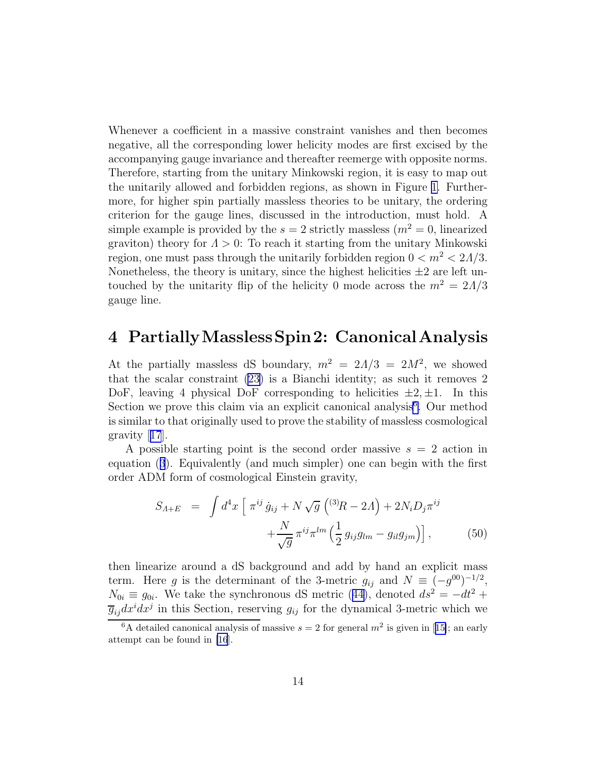<span id="page-13-0"></span>Whenever a coefficient in a massive constraint vanishes and then becomes negative, all the corresponding lower helicity modes are first excised by the accompanying gauge invariance and thereafter reemerge with opposite norms. Therefore, starting from the unitary Minkowski region, it is easy to map out the unitarily allowed and forbidden regions, as shown in Figure [1.](#page-2-0) Furthermore, for higher spin partially massless theories to be unitary, the ordering criterion for the gauge lines, discussed in the introduction, must hold. A simple example is provided by the  $s = 2$  strictly massless  $(m^2 = 0, 1)$  linearized graviton) theory for  $\Lambda > 0$ : To reach it starting from the unitary Minkowski region, one must pass through the unitarily forbidden region  $0 < m^2 < 2\Lambda/3$ . Nonetheless, the theory is unitary, since the highest helicities  $\pm 2$  are left untouched by the unitarity flip of the helicity 0 mode across the  $m^2 = 2\Lambda/3$ gauge line.

## 4 PartiallyMasslessSpin2: CanonicalAnalysis

At the partially massless dS boundary,  $m^2 = 2\Lambda/3 = 2M^2$ , we showed that the scalar constraint [\(23\)](#page-6-0) is a Bianchi identity; as such it removes 2 DoF, leaving 4 physical DoF corresponding to helicities  $\pm 2, \pm 1$ . In this Section we prove this claim via an explicit canonical analysis<sup>6</sup>. Our method is similar to that originally used to prove the stability of massless cosmological gravity[[17](#page-34-0)].

A possible starting point is the second order massive  $s = 2$  action in equation ([3](#page-4-0)). Equivalently (and much simpler) one can begin with the first order ADM form of cosmological Einstein gravity,

$$
S_{A+E} = \int d^4x \left[ \pi^{ij} \dot{g}_{ij} + N \sqrt{g} \left( {}^{(3)}R - 2A \right) + 2N_i D_j \pi^{ij} \right. \left. + \frac{N}{\sqrt{g}} \pi^{ij} \pi^{lm} \left( \frac{1}{2} g_{ij} g_{lm} - g_{il} g_{jm} \right) \right], \tag{50}
$$

then linearize around a dS background and add by hand an explicit mass term. Here g is the determinant of the 3-metric  $g_{ij}$  and  $N \equiv (-g^{00})^{-1/2}$ ,  $N_{0i} \equiv g_{0i}$ . We take the synchronous dS metric ([44\)](#page-10-0), denoted  $ds^2 = -dt^2 + dt^2$  $\overline{g}_{ij}dx^{i}dx^{j}$  in this Section, reserving  $g_{ij}$  for the dynamical 3-metric which we

<sup>&</sup>lt;sup>6</sup>Adetailed canonical analysis of massive  $s = 2$  for general  $m^2$  is given in [[15\]](#page-34-0); an early attempt can be found in [\[16](#page-34-0)].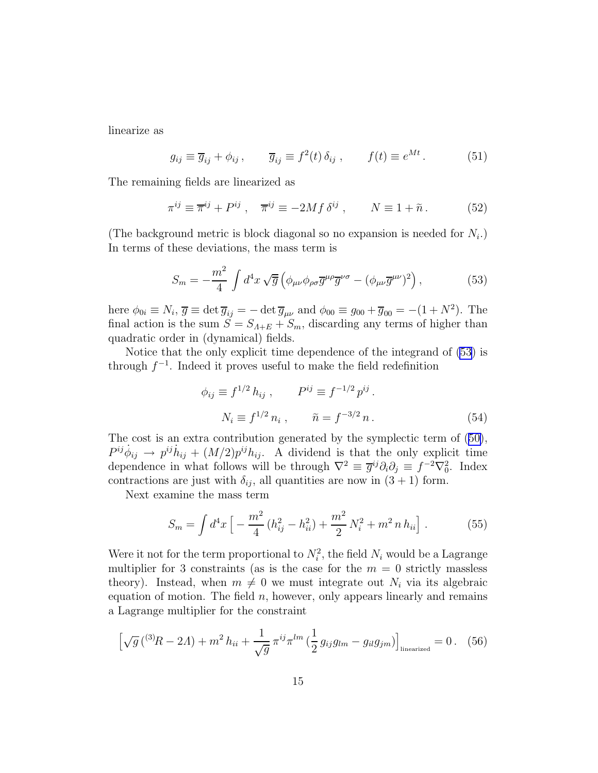<span id="page-14-0"></span>linearize as

$$
g_{ij} \equiv \overline{g}_{ij} + \phi_{ij}, \qquad \overline{g}_{ij} \equiv f^2(t) \,\delta_{ij} , \qquad f(t) \equiv e^{Mt} . \tag{51}
$$

The remaining fields are linearized as

$$
\pi^{ij} \equiv \overline{\pi}^{ij} + P^{ij} , \quad \overline{\pi}^{ij} \equiv -2Mf \,\delta^{ij} , \qquad N \equiv 1 + \tilde{n} . \tag{52}
$$

(The background metric is block diagonal so no expansion is needed for  $N_i$ .) In terms of these deviations, the mass term is

$$
S_m = -\frac{m^2}{4} \int d^4x \sqrt{\overline{g}} \left( \phi_{\mu\nu} \phi_{\rho\sigma} \overline{g}^{\mu\rho} \overline{g}^{\nu\sigma} - (\phi_{\mu\nu} \overline{g}^{\mu\nu})^2 \right), \tag{53}
$$

here  $\phi_{0i} \equiv N_i$ ,  $\overline{g} \equiv \det \overline{g}_{ij} = -\det \overline{g}_{\mu\nu}$  and  $\phi_{00} \equiv g_{00} + \overline{g}_{00} = -(1 + N^2)$ . The final action is the sum  $\tilde{S} = S_{A+E} + S_m$ , discarding any terms of higher than quadratic order in (dynamical) fields.

Notice that the only explicit time dependence of the integrand of (53) is through  $f^{-1}$ . Indeed it proves useful to make the field redefinition

$$
\phi_{ij} \equiv f^{1/2} h_{ij} , \qquad P^{ij} \equiv f^{-1/2} p^{ij} .
$$

$$
N_i \equiv f^{1/2} n_i , \qquad \tilde{n} = f^{-3/2} n .
$$
 (54)

The cost is an extra contribution generated by the symplectic term of ([50\)](#page-13-0),  $P^{ij}\dot{\phi}_{ij} \rightarrow p^{ij}\dot{h}_{ij} + (M/2)p^{ij}h_{ij}$ . A dividend is that the only explicit time dependence in what follows will be through  $\nabla^2 \equiv \overline{g}^{ij}\partial_i\partial_j \equiv f^{-2}\nabla_0^2$ . Index contractions are just with  $\delta_{ij}$ , all quantities are now in  $(3 + 1)$  form.

Next examine the mass term

$$
S_m = \int d^4x \left[ -\frac{m^2}{4} \left( h_{ij}^2 - h_{ii}^2 \right) + \frac{m^2}{2} N_i^2 + m^2 n h_{ii} \right]. \tag{55}
$$

Were it not for the term proportional to  $N_i^2$ , the field  $N_i$  would be a Lagrange multiplier for 3 constraints (as is the case for the  $m = 0$  strictly massless theory). Instead, when  $m \neq 0$  we must integrate out  $N_i$  via its algebraic equation of motion. The field  $n$ , however, only appears linearly and remains a Lagrange multiplier for the constraint

$$
\left[\sqrt{g}\left(^{(3)}R - 2\Lambda\right) + m^2 h_{ii} + \frac{1}{\sqrt{g}}\pi^{ij}\pi^{lm}\left(\frac{1}{2}g_{ij}g_{lm} - g_{il}g_{jm}\right)\right]_{\text{linearized}} = 0. \quad (56)
$$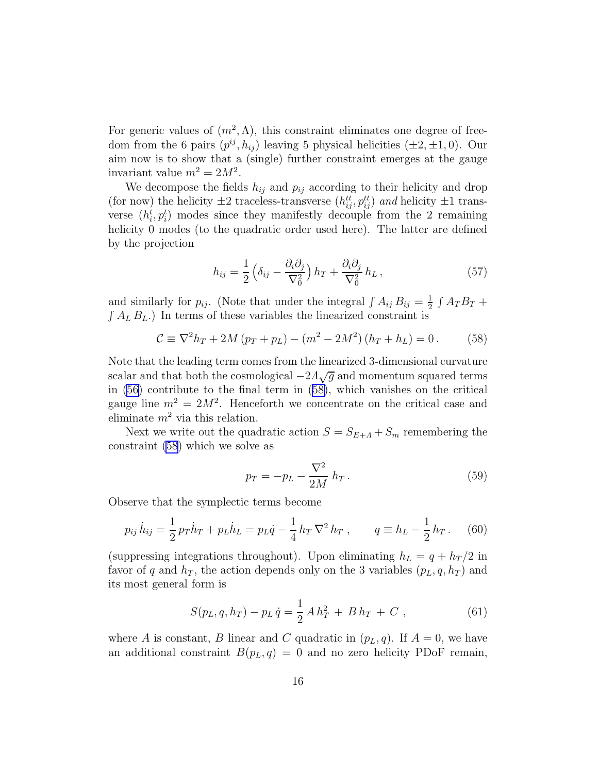For generic values of  $(m^2, \Lambda)$ , this constraint eliminates one degree of freedom from the 6 pairs  $(p^{ij}, h_{ij})$  leaving 5 physical helicities  $(\pm 2, \pm 1, 0)$ . Our aim now is to show that a (single) further constraint emerges at the gauge invariant value  $m^2 = 2M^2$ .

We decompose the fields  $h_{ij}$  and  $p_{ij}$  according to their helicity and drop (for now) the helicity  $\pm 2$  traceless-transverse  $(h_{ij}^{tt}, p_{ij}^{tt})$  and helicity  $\pm 1$  transverse  $(h_i^t, p_i^t)$  modes since they manifestly decouple from the 2 remaining helicity 0 modes (to the quadratic order used here). The latter are defined by the projection

$$
h_{ij} = \frac{1}{2} \left( \delta_{ij} - \frac{\partial_i \partial_j}{\nabla_0^2} \right) h_T + \frac{\partial_i \partial_j}{\nabla_0^2} h_L \,, \tag{57}
$$

and similarly for  $p_{ij}$ . (Note that under the integral  $\int A_{ij} B_{ij} = \frac{1}{2}$  $rac{1}{2}$   $\int A_T B_T +$  $\int A_L B_L$ .) In terms of these variables the linearized constraint is

$$
C \equiv \nabla^2 h_T + 2M(p_T + p_L) - (m^2 - 2M^2)(h_T + h_L) = 0.
$$
 (58)

Note that the leading term comes from the linearized 3-dimensional curvature scalar and that both the cosmological  $-2\Lambda\sqrt{g}$  and momentum squared terms in [\(56\)](#page-14-0) contribute to the final term in (58), which vanishes on the critical gauge line  $m^2 = 2M^2$ . Henceforth we concentrate on the critical case and eliminate  $m^2$  via this relation.

Next we write out the quadratic action  $S = S_{E+A} + S_m$  remembering the constraint (58) which we solve as

$$
p_T = -p_L - \frac{\nabla^2}{2M} h_T.
$$
 (59)

Observe that the symplectic terms become

$$
p_{ij}\,\dot{h}_{ij} = \frac{1}{2}\,p_T\dot{h}_T + p_L\dot{h}_L = p_L\dot{q} - \frac{1}{4}\,h_T\,\nabla^2\,h_T\;, \qquad q \equiv h_L - \frac{1}{2}\,h_T\,. \tag{60}
$$

(suppressing integrations throughout). Upon eliminating  $h_L = q + h_T/2$  in favor of q and  $h_T$ , the action depends only on the 3 variables  $(p_L, q, h_T)$  and its most general form is

$$
S(p_L, q, h_T) - p_L \dot{q} = \frac{1}{2} A h_T^2 + B h_T + C , \qquad (61)
$$

where A is constant, B linear and C quadratic in  $(p_L, q)$ . If  $A = 0$ , we have an additional constraint  $B(p_L, q) = 0$  and no zero helicity PDoF remain,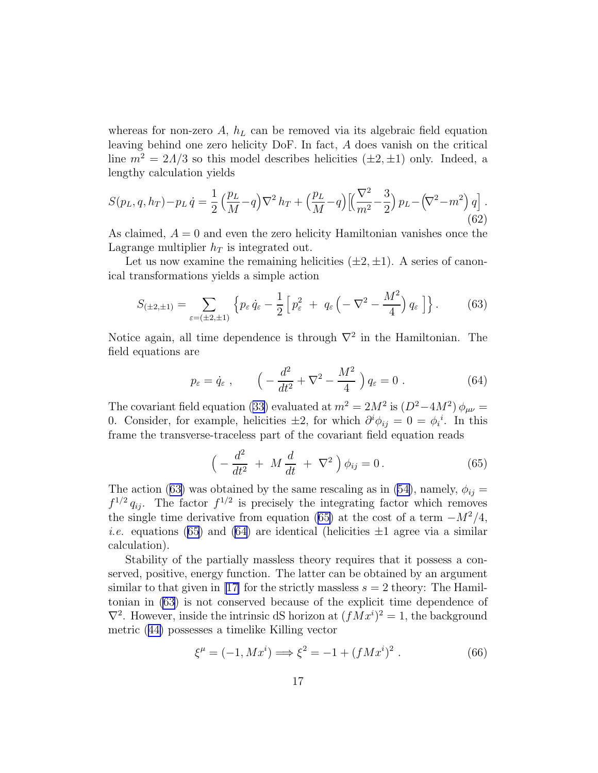<span id="page-16-0"></span>whereas for non-zero  $A$ ,  $h<sub>L</sub>$  can be removed via its algebraic field equation leaving behind one zero helicity DoF. In fact, A does vanish on the critical line  $m^2 = 2\Lambda/3$  so this model describes helicities  $(\pm 2, \pm 1)$  only. Indeed, a lengthy calculation yields

$$
S(p_L, q, h_T) - p_L \dot{q} = \frac{1}{2} \left( \frac{p_L}{M} - q \right) \nabla^2 h_T + \left( \frac{p_L}{M} - q \right) \left[ \left( \frac{\nabla^2}{m^2} - \frac{3}{2} \right) p_L - \left( \nabla^2 - m^2 \right) q \right].
$$
\n(62)

As claimed,  $A = 0$  and even the zero helicity Hamiltonian vanishes once the Lagrange multiplier  $h_T$  is integrated out.

Let us now examine the remaining helicities  $(\pm 2, \pm 1)$ . A series of canonical transformations yields a simple action

$$
S_{(\pm 2,\pm 1)} = \sum_{\varepsilon = (\pm 2,\pm 1)} \left\{ p_{\varepsilon} \dot{q}_{\varepsilon} - \frac{1}{2} \left[ p_{\varepsilon}^2 + q_{\varepsilon} \left( -\nabla^2 - \frac{M^2}{4} \right) q_{\varepsilon} \right] \right\}.
$$
 (63)

Notice again, all time dependence is through  $\nabla^2$  in the Hamiltonian. The field equations are

$$
p_{\varepsilon} = \dot{q}_{\varepsilon} , \qquad \left( -\frac{d^2}{dt^2} + \nabla^2 - \frac{M^2}{4} \right) q_{\varepsilon} = 0 . \tag{64}
$$

The covariant field equation ([33\)](#page-8-0) evaluated at  $m^2 = 2M^2$  is  $(D^2-4M^2) \phi_{\mu\nu} =$ 0. Consider, for example, helicities  $\pm 2$ , for which  $\partial^i \phi_{ij} = 0 = \phi_i^i$ . In this frame the transverse-traceless part of the covariant field equation reads

$$
\left(-\frac{d^2}{dt^2} + M\frac{d}{dt} + \nabla^2\right)\phi_{ij} = 0.
$$
\n(65)

The action (63) was obtained by the same rescaling as in [\(54\)](#page-14-0), namely,  $\phi_{ij} =$  $f^{1/2} q_{ij}$ . The factor  $f^{1/2}$  is precisely the integrating factor which removes the single time derivative from equation (65) at the cost of a term  $-M^2/4$ , *i.e.* equations (65) and (64) are identical (helicities  $\pm 1$  agree via a similar calculation).

Stability of the partially massless theory requires that it possess a conserved, positive, energy function. The latter can be obtained by an argument similarto that given in [[17\]](#page-34-0) for the strictly massless  $s = 2$  theory: The Hamiltonian in (63) is not conserved because of the explicit time dependence of  $\nabla^2$ . However, inside the intrinsic dS horizon at  $(fMx^i)^2 = 1$ , the background metric ([44\)](#page-10-0) possesses a timelike Killing vector

$$
\xi^{\mu} = (-1, Mx^{i}) \Longrightarrow \xi^{2} = -1 + (fMx^{i})^{2} . \tag{66}
$$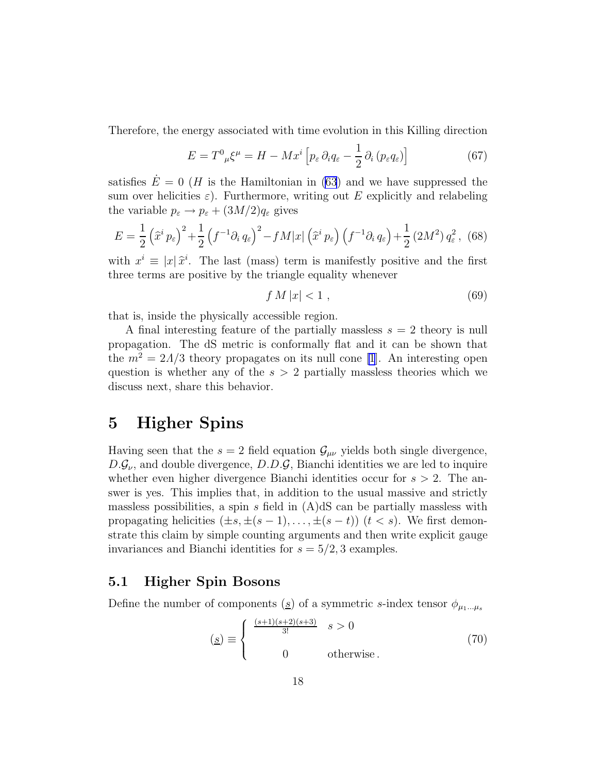<span id="page-17-0"></span>Therefore, the energy associated with time evolution in this Killing direction

$$
E = T^{0}{}_{\mu}\xi^{\mu} = H - Mx^{i} \left[ p_{\varepsilon} \,\partial_{i}q_{\varepsilon} - \frac{1}{2} \,\partial_{i} \left( p_{\varepsilon}q_{\varepsilon} \right) \right] \tag{67}
$$

satisfies  $E = 0$  (*H* is the Hamiltonian in [\(63](#page-16-0)) and we have suppressed the sum over helicities  $\varepsilon$ ). Furthermore, writing out E explicitly and relabeling the variable  $p_{\varepsilon} \to p_{\varepsilon} + (3M/2)q_{\varepsilon}$  gives

$$
E = \frac{1}{2} \left( \hat{x}^i p_\varepsilon \right)^2 + \frac{1}{2} \left( f^{-1} \partial_i q_\varepsilon \right)^2 - f M |x| \left( \hat{x}^i p_\varepsilon \right) \left( f^{-1} \partial_i q_\varepsilon \right) + \frac{1}{2} \left( 2M^2 \right) q_\varepsilon^2, \tag{68}
$$

with  $x^i \equiv |x|\hat{x}^i$ . The last (mass) term is manifestly positive and the first three terms are positive by the triangle equality whenever

$$
f M|x| < 1 \tag{69}
$$

that is, inside the physically accessible region.

A final interesting feature of the partially massless  $s = 2$  theory is null propagation. The dS metric is conformally flat and it can be shown that the  $m^2 = 2\Lambda/3$  theory propagates on its null cone [\[1](#page-33-0)]. An interesting open question is whether any of the  $s > 2$  partially massless theories which we discuss next, share this behavior.

## 5 Higher Spins

Having seen that the  $s = 2$  field equation  $\mathcal{G}_{\mu\nu}$  yields both single divergence,  $D.G_{\nu}$ , and double divergence,  $D.D.G$ , Bianchi identities we are led to inquire whether even higher divergence Bianchi identities occur for  $s > 2$ . The answer is yes. This implies that, in addition to the usual massive and strictly massless possibilities, a spin s field in  $(A)dS$  can be partially massless with propagating helicities  $(\pm s, \pm (s-1), \ldots, \pm (s-t))$   $(t < s)$ . We first demonstrate this claim by simple counting arguments and then write explicit gauge invariances and Bianchi identities for  $s = 5/2, 3$  examples.

### 5.1 Higher Spin Bosons

Define the number of components ( $\underline{s}$ ) of a symmetric s-index tensor  $\phi_{\mu_1...\mu_s}$ 

$$
\left(\underline{s}\right) \equiv \begin{cases} \frac{(s+1)(s+2)(s+3)}{3!} & s > 0\\ 0 & \text{otherwise.} \end{cases} \tag{70}
$$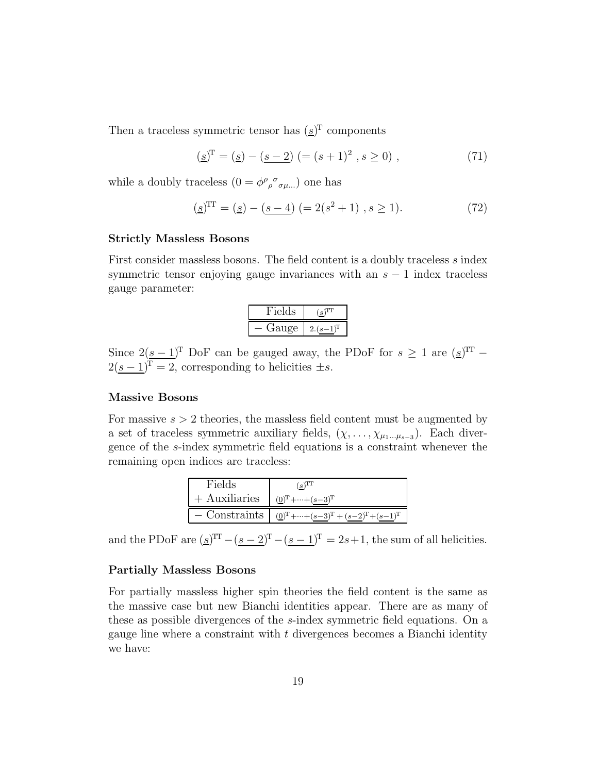Then a traceless symmetric tensor has  $(s)^T$  components

$$
(\underline{s})^{\mathrm{T}} = (\underline{s}) - (\underline{s-2}) \ (= (s+1)^2 \ , s \ge 0) \ , \tag{71}
$$

while a doubly traceless  $(0 = \phi^{\rho}{}_{\rho}{}^{\sigma}{}_{\sigma\mu\dots})$  one has

$$
(\underline{s})^{\text{TT}} = (\underline{s}) - (\underline{s-4}) (= 2(s^2 + 1), s \ge 1). \tag{72}
$$

#### Strictly Massless Bosons

First consider massless bosons. The field content is a doubly traceless s index symmetric tensor enjoying gauge invariances with an  $s - 1$  index traceless gauge parameter:

| Fields |   |
|--------|---|
| Gauge  | 2 |

Since  $2(s-1)^T$  DoF can be gauged away, the PDoF for  $s \geq 1$  are  $(s)^{TT}$  –  $2(\underline{s-1})^T = 2$ , corresponding to helicities  $\pm s$ .

#### Massive Bosons

For massive  $s > 2$  theories, the massless field content must be augmented by a set of traceless symmetric auxiliary fields,  $(\chi, \ldots, \chi_{\mu_1 \ldots \mu_{s-3}})$ . Each divergence of the s-index symmetric field equations is a constraint whenever the remaining open indices are traceless:

| Fields                                       | $(\underline{s})^{\text{TT}}$                                         |
|----------------------------------------------|-----------------------------------------------------------------------|
| + Auxiliaries $(0)^{T} + \cdots + (s-3)^{T}$ |                                                                       |
|                                              | - Constraints   $(0)^{T}$ +…+ $(s-3)^{T}$ + $(s-2)^{T}$ + $(s-1)^{T}$ |

and the PDoF are  $(\underline{s})^{\text{TT}} - (\underline{s-2})^{\text{T}} - (\underline{s-1})^{\text{T}} = 2s+1$ , the sum of all helicities.

#### Partially Massless Bosons

For partially massless higher spin theories the field content is the same as the massive case but new Bianchi identities appear. There are as many of these as possible divergences of the s-index symmetric field equations. On a gauge line where a constraint with t divergences becomes a Bianchi identity we have: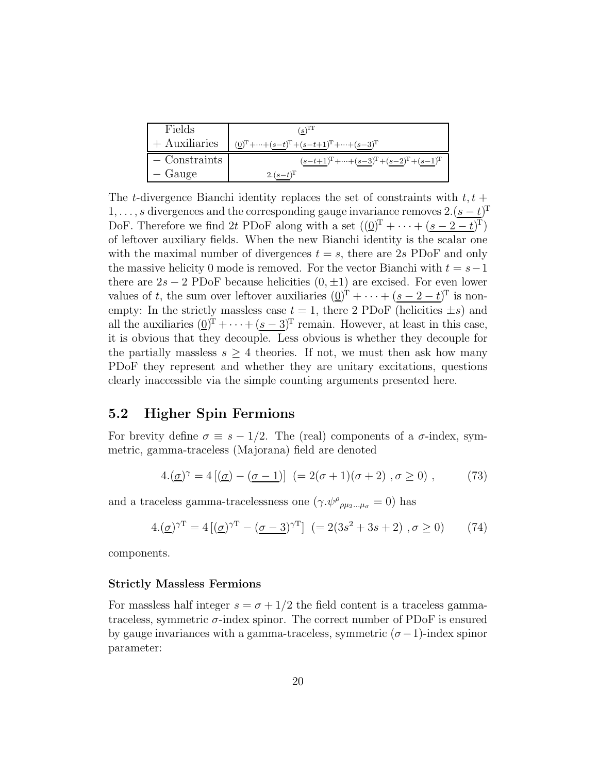| Fields             | $(s)^{11}$                                                            |
|--------------------|-----------------------------------------------------------------------|
| $+$ Auxiliaries    | $(\underline{0})^T + \cdots + (s-t)^T + (s-t+1)^T + \cdots + (s-3)^T$ |
| $\sim$ Constraints | $(s-t+1)^{T} + \cdots + (s-3)^{T} + (s-2)^{T} + (s-1)^{T}$            |
| - Gauge            | $2.(s-t)^{T}$                                                         |

The t-divergence Bianchi identity replaces the set of constraints with  $t, t +$ 1, ..., s divergences and the corresponding gauge invariance removes  $2 \cdot (s - t)^T$ DoF. Therefore we find 2t PDoF along with a set  $((\underline{0})^T + \cdots + (\underline{s-2-t})^T)$ of leftover auxiliary fields. When the new Bianchi identity is the scalar one with the maximal number of divergences  $t = s$ , there are 2s PDoF and only the massive helicity 0 mode is removed. For the vector Bianchi with  $t = s-1$ there are  $2s - 2$  PDoF because helicities  $(0, \pm 1)$  are excised. For even lower values of t, the sum over leftover auxiliaries  $(0)^{T} + \cdots + (s-2-t)^{T}$  is nonempty: In the strictly massless case  $t = 1$ , there 2 PDoF (helicities  $\pm s$ ) and all the auxiliaries  $(0)^{T} + \cdots + (s-3)^{T}$  remain. However, at least in this case, it is obvious that they decouple. Less obvious is whether they decouple for the partially massless  $s \geq 4$  theories. If not, we must then ask how many PDoF they represent and whether they are unitary excitations, questions clearly inaccessible via the simple counting arguments presented here.

### 5.2 Higher Spin Fermions

For brevity define  $\sigma \equiv s - 1/2$ . The (real) components of a  $\sigma$ -index, symmetric, gamma-traceless (Majorana) field are denoted

$$
4.(\underline{\sigma})^{\gamma} = 4 [(\underline{\sigma}) - (\underline{\sigma - 1})] (= 2(\sigma + 1)(\sigma + 2), \sigma \ge 0), \qquad (73)
$$

and a traceless gamma-tracelessness one  $(\gamma \psi^{\rho}{}_{\rho\mu_2...\mu_{\sigma}} = 0)$  has

$$
4.(\underline{\sigma})^{\gamma T} = 4 [(\underline{\sigma})^{\gamma T} - (\underline{\sigma - 3})^{\gamma T}] (= 2(3s^2 + 3s + 2), \sigma \ge 0)
$$
 (74)

components.

#### Strictly Massless Fermions

For massless half integer  $s = \sigma + 1/2$  the field content is a traceless gammatraceless, symmetric  $\sigma$ -index spinor. The correct number of PDoF is ensured by gauge invariances with a gamma-traceless, symmetric  $(\sigma-1)$ -index spinor parameter: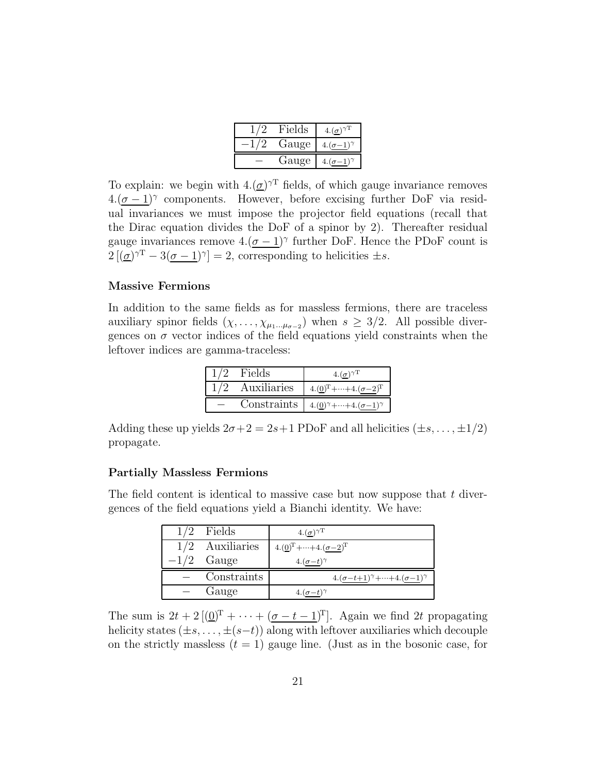| Fields |               |
|--------|---------------|
| Gauge  | $\sigma$ -1)? |
| Gauge  |               |

To explain: we begin with  $4.(\underline{\sigma})^{\gamma T}$  fields, of which gauge invariance removes  $4.(\underline{\sigma-1})^{\gamma}$  components. However, before excising further DoF via residual invariances we must impose the projector field equations (recall that the Dirac equation divides the DoF of a spinor by 2). Thereafter residual gauge invariances remove  $4.(\underline{\sigma-1})^{\gamma}$  further DoF. Hence the PDoF count is  $2[(\underline{\sigma})^{\gamma T} - 3(\underline{\sigma} - 1)^{\gamma}] = 2$ , corresponding to helicities  $\pm s$ .

#### Massive Fermions

In addition to the same fields as for massless fermions, there are traceless auxiliary spinor fields  $(\chi, \ldots, \chi_{\mu_1 \ldots \mu_{\sigma-2}})$  when  $s \geq 3/2$ . All possible divergences on  $\sigma$  vector indices of the field equations yield constraints when the leftover indices are gamma-traceless:

| Fields | $4.(\sigma)^{\gamma T}$                                      |
|--------|--------------------------------------------------------------|
|        | Auxiliaries $4.(\underline{0})^T + \dots + 4.(\sigma - 2)^T$ |
|        | Constraints $4.(0)^\gamma + \cdots + 4.(\sigma-1)^\gamma$    |

Adding these up yields  $2\sigma+2=2s+1$  PDoF and all helicities  $(\pm s, \dots, \pm 1/2)$ propagate.

#### Partially Massless Fermions

The field content is identical to massive case but now suppose that  $t$  divergences of the field equations yield a Bianchi identity. We have:

| $1/2$ Fields      | $(4.(\underline{\sigma})^{\gamma T})$                                   |
|-------------------|-------------------------------------------------------------------------|
| $1/2$ Auxiliaries | $4.(\underline{0})^{\mathrm{T}} + \cdots + 4.(\sigma - 2)^{\mathrm{T}}$ |
| $-1/2$ Gauge      | $4.(\sigma-t)^{\gamma}$                                                 |
| Constraints       | $4.(\sigma - t + 1)^{\gamma} + \cdots + 4.(\sigma - 1)^{\gamma}$        |
| Gauge             | $4.(\sigma-t)$ <sup><math>\gamma</math></sup>                           |

The sum is  $2t + 2[(\underline{0})^T + \cdots + (\underline{\sigma - t - 1})^T]$ . Again we find 2t propagating helicity states  $(\pm s, \ldots, \pm (s-t))$  along with leftover auxiliaries which decouple on the strictly massless  $(t = 1)$  gauge line. (Just as in the bosonic case, for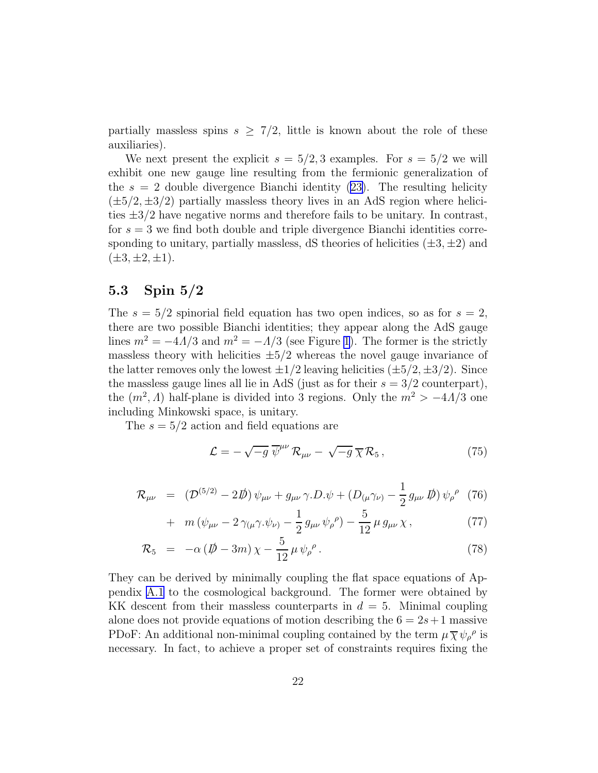<span id="page-21-0"></span>partially massless spins  $s \geq \frac{7}{2}$ , little is known about the role of these auxiliaries).

We next present the explicit  $s = 5/2, 3$  examples. For  $s = 5/2$  we will exhibit one new gauge line resulting from the fermionic generalization of the  $s = 2$  double divergence Bianchi identity [\(23\)](#page-6-0). The resulting helicity  $(\pm 5/2, \pm 3/2)$  partially massless theory lives in an AdS region where helicities  $\pm 3/2$  have negative norms and therefore fails to be unitary. In contrast, for  $s = 3$  we find both double and triple divergence Bianchi identities corresponding to unitary, partially massless, dS theories of helicities  $(\pm 3, \pm 2)$  and  $(\pm 3, \pm 2, \pm 1).$ 

### 5.3 Spin 5/2

The  $s = 5/2$  spinorial field equation has two open indices, so as for  $s = 2$ , there are two possible Bianchi identities; they appear along the AdS gauge lines  $m^2 = -4A/3$  and  $m^2 = -A/3$  (see Figure [1](#page-2-0)). The former is the strictly massless theory with helicities  $\pm 5/2$  whereas the novel gauge invariance of the latter removes only the lowest  $\pm 1/2$  leaving helicities  $(\pm 5/2, \pm 3/2)$ . Since the massless gauge lines all lie in AdS (just as for their  $s = 3/2$  counterpart), the  $(m^2, \Lambda)$  half-plane is divided into 3 regions. Only the  $m^2 > -4\Lambda/3$  one including Minkowski space, is unitary.

The  $s = 5/2$  action and field equations are

$$
\mathcal{L} = -\sqrt{-g} \,\overline{\psi}^{\mu\nu} \,\mathcal{R}_{\mu\nu} - \sqrt{-g} \,\overline{\chi} \,\mathcal{R}_5 \,, \tag{75}
$$

$$
\mathcal{R}_{\mu\nu} = (\mathcal{D}^{(5/2)} - 2\rlap{\,/}D) \psi_{\mu\nu} + g_{\mu\nu} \gamma \cdot D \cdot \psi + (D_{(\mu} \gamma_{\nu)} - \frac{1}{2} g_{\mu\nu} \rlap{\,/}D) \psi_{\rho}^{\ \rho} \tag{76}
$$

+ 
$$
m(\psi_{\mu\nu} - 2\gamma_{(\mu}\gamma.\psi_{\nu)} - \frac{1}{2}g_{\mu\nu}\psi_{\rho}^{\ \rho}) - \frac{5}{12}\mu g_{\mu\nu}\chi,
$$
 (77)

$$
\mathcal{R}_5 = -\alpha \left( \rlap{\,/}D - 3m \right) \chi - \frac{5}{12} \mu \psi_{\rho}^{\ \rho} \,. \tag{78}
$$

They can be derived by minimally coupling the flat space equations of Appendix [A.1](#page-28-0) to the cosmological background. The former were obtained by KK descent from their massless counterparts in  $d = 5$ . Minimal coupling alone does not provide equations of motion describing the  $6 = 2s + 1$  massive PDoF: An additional non-minimal coupling contained by the term  $\mu \overline{\chi} \psi_{\rho}{}^{\rho}$  is necessary. In fact, to achieve a proper set of constraints requires fixing the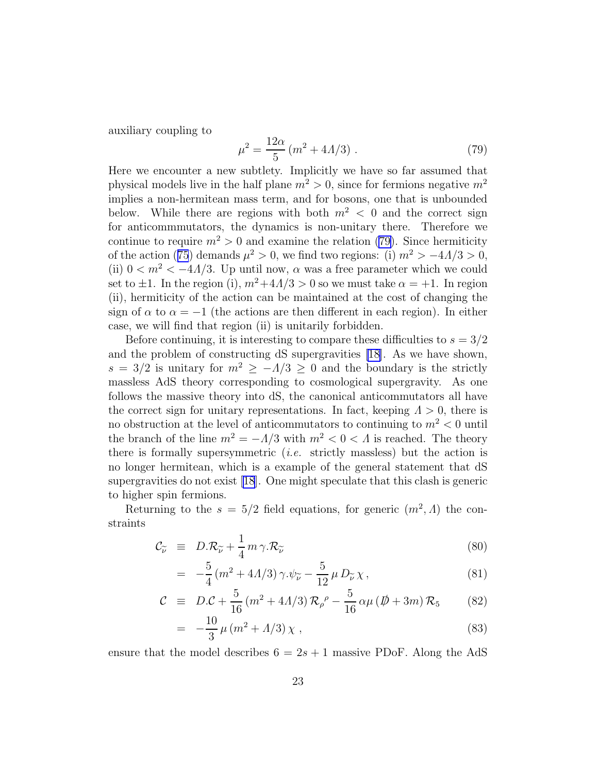<span id="page-22-0"></span>auxiliary coupling to

$$
\mu^2 = \frac{12\alpha}{5} (m^2 + 4A/3) \ . \tag{79}
$$

Here we encounter a new subtlety. Implicitly we have so far assumed that physical models live in the half plane  $m^2 > 0$ , since for fermions negative  $m^2$ implies a non-hermitean mass term, and for bosons, one that is unbounded below. While there are regions with both  $m^2 < 0$  and the correct sign for anticommmutators, the dynamics is non-unitary there. Therefore we continue to require  $m^2 > 0$  and examine the relation (79). Since hermiticity of the action ([75](#page-21-0)) demands  $\mu^2 > 0$ , we find two regions: (i)  $m^2 > -4\Lambda/3 > 0$ , (ii)  $0 \lt m^2 \lt -4A/3$ . Up until now,  $\alpha$  was a free parameter which we could set to  $\pm 1$ . In the region (i),  $m^2 + 4A/3 > 0$  so we must take  $\alpha = +1$ . In region (ii), hermiticity of the action can be maintained at the cost of changing the sign of  $\alpha$  to  $\alpha = -1$  (the actions are then different in each region). In either case, we will find that region (ii) is unitarily forbidden.

Before continuing, it is interesting to compare these difficulties to  $s = 3/2$ and the problem of constructing dS supergravities [\[18\]](#page-34-0). As we have shown,  $s = 3/2$  is unitary for  $m^2 \ge -1/3 \ge 0$  and the boundary is the strictly massless AdS theory corresponding to cosmological supergravity. As one follows the massive theory into dS, the canonical anticommutators all have the correct sign for unitary representations. In fact, keeping  $\Lambda > 0$ , there is no obstruction at the level of anticommutators to continuing to  $m^2 < 0$  until the branch of the line  $m^2 = -\Lambda/3$  with  $m^2 < 0 < \Lambda$  is reached. The theory there is formally supersymmetric *(i.e.* strictly massless) but the action is no longer hermitean, which is a example of the general statement that dS supergravities do not exist [\[18](#page-34-0)]. One might speculate that this clash is generic to higher spin fermions.

Returning to the  $s = 5/2$  field equations, for generic  $(m^2, \Lambda)$  the constraints

$$
\mathcal{C}_{\widetilde{\nu}} = D \cdot \mathcal{R}_{\widetilde{\nu}} + \frac{1}{4} m \gamma \cdot \mathcal{R}_{\widetilde{\nu}} \tag{80}
$$

$$
= -\frac{5}{4} (m^2 + 4A/3) \gamma . \psi_{\tilde{\nu}} - \frac{5}{12} \mu D_{\tilde{\nu}} \chi , \qquad (81)
$$

$$
C \equiv D.C + \frac{5}{16} (m^2 + 4A/3) \mathcal{R}_{\rho}{}^{\rho} - \frac{5}{16} \alpha \mu (\not{D} + 3m) \mathcal{R}_5 \tag{82}
$$

$$
= -\frac{10}{3}\,\mu\,(m^2 + \Lambda/3)\,\chi\;, \tag{83}
$$

ensure that the model describes  $6 = 2s + 1$  massive PDoF. Along the AdS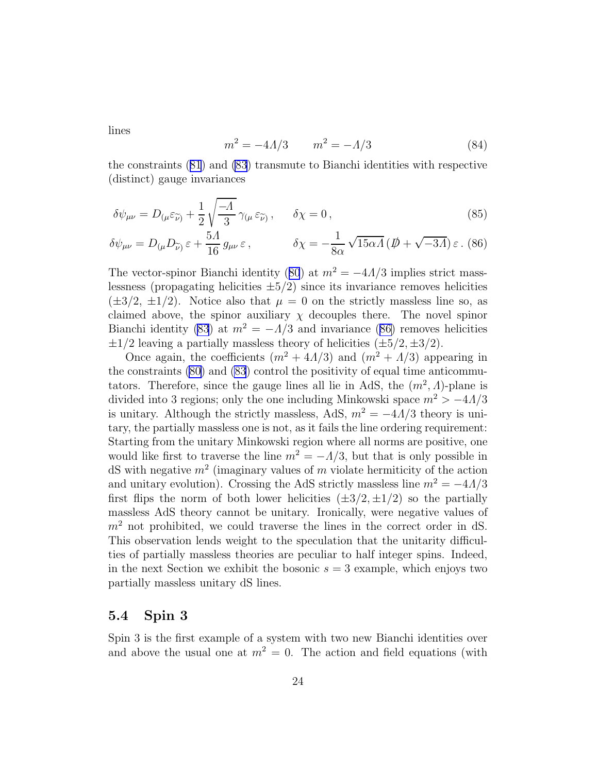lines

$$
m^2 = -4A/3 \qquad m^2 = -A/3 \tag{84}
$$

the constraints ([81](#page-22-0)) and [\(83](#page-22-0)) transmute to Bianchi identities with respective (distinct) gauge invariances

$$
\delta\psi_{\mu\nu} = D_{(\mu}\varepsilon_{\widetilde{\nu})} + \frac{1}{2}\sqrt{\frac{-A}{3}}\gamma_{(\mu}\varepsilon_{\widetilde{\nu})}, \quad \delta\chi = 0, \tag{85}
$$

$$
\delta\psi_{\mu\nu} = D_{(\mu}D_{\widetilde{\nu})}\,\varepsilon + \frac{5\Lambda}{16}\,g_{\mu\nu}\,\varepsilon\,,\qquad\qquad \delta\chi = -\frac{1}{8\alpha}\,\sqrt{15\alpha\Lambda}\,(\not\!D + \sqrt{-3\Lambda})\,\varepsilon\,.\tag{86}
$$

The vector-spinor Bianchi identity ([80](#page-22-0)) at  $m^2 = -4A/3$  implies strict masslessness (propagating helicities  $\pm 5/2$ ) since its invariance removes helicities  $(\pm 3/2, \pm 1/2)$ . Notice also that  $\mu = 0$  on the strictly massless line so, as claimed above, the spinor auxiliary  $\chi$  decouples there. The novel spinor Bianchi identity [\(83](#page-22-0)) at  $m^2 = -\Lambda/3$  and invariance (86) removes helicities  $\pm 1/2$  leaving a partially massless theory of helicities  $(\pm 5/2, \pm 3/2)$ .

Once again, the coefficients  $(m^2 + 4A/3)$  and  $(m^2 + A/3)$  appearing in the constraints [\(80\)](#page-22-0) and [\(83](#page-22-0)) control the positivity of equal time anticommutators. Therefore, since the gauge lines all lie in AdS, the  $(m^2, \Lambda)$ -plane is divided into 3 regions; only the one including Minkowski space  $m^2 > -4A/3$ is unitary. Although the strictly massless, AdS,  $m^2 = -4A/3$  theory is unitary, the partially massless one is not, as it fails the line ordering requirement: Starting from the unitary Minkowski region where all norms are positive, one would like first to traverse the line  $m^2 = -\Lambda/3$ , but that is only possible in dS with negative  $m^2$  (imaginary values of m violate hermiticity of the action and unitary evolution). Crossing the AdS strictly massless line  $m^2 = -4A/3$ first flips the norm of both lower helicities  $(\pm 3/2, \pm 1/2)$  so the partially massless AdS theory cannot be unitary. Ironically, were negative values of  $m<sup>2</sup>$  not prohibited, we could traverse the lines in the correct order in dS. This observation lends weight to the speculation that the unitarity difficulties of partially massless theories are peculiar to half integer spins. Indeed, in the next Section we exhibit the bosonic  $s = 3$  example, which enjoys two partially massless unitary dS lines.

#### 5.4 Spin 3

Spin 3 is the first example of a system with two new Bianchi identities over and above the usual one at  $m^2 = 0$ . The action and field equations (with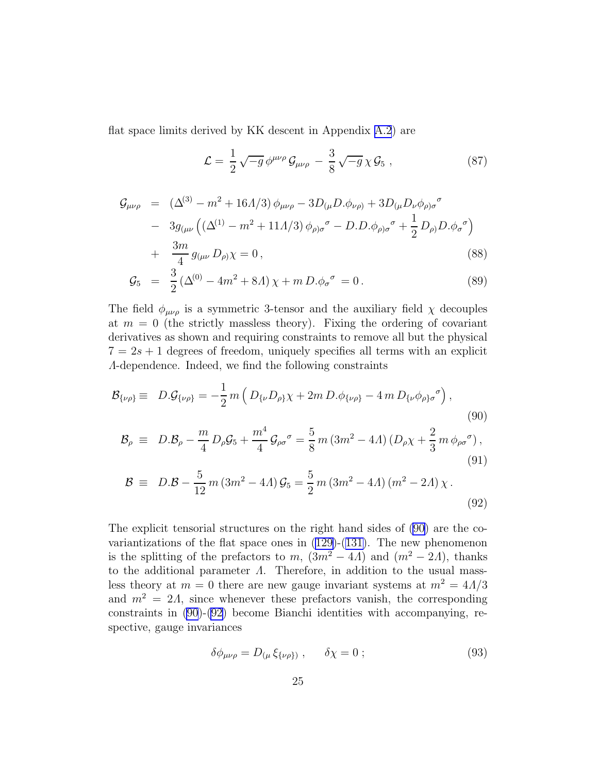<span id="page-24-0"></span>flat space limits derived by KK descent in Appendix [A.2](#page-31-0)) are

$$
\mathcal{L} = \frac{1}{2} \sqrt{-g} \phi^{\mu\nu\rho} \mathcal{G}_{\mu\nu\rho} - \frac{3}{8} \sqrt{-g} \chi \mathcal{G}_5 , \qquad (87)
$$

$$
\mathcal{G}_{\mu\nu\rho} = (\Delta^{(3)} - m^2 + 16A/3) \phi_{\mu\nu\rho} - 3D_{(\mu}D.\phi_{\nu\rho)} + 3D_{(\mu}D_{\nu}\phi_{\rho)\sigma}^{\sigma}
$$
  
\n
$$
- 3g_{(\mu\nu} ((\Delta^{(1)} - m^2 + 11A/3) \phi_{\rho)\sigma}^{\sigma} - D.D.\phi_{\rho)\sigma}^{\sigma} + \frac{1}{2}D_{\rho)}D.\phi_{\sigma}^{\sigma})
$$
  
\n
$$
+ \frac{3m}{4}g_{(\mu\nu}D_{\rho)}\chi = 0,
$$
\n(88)

$$
\mathcal{G}_5 = \frac{3}{2} \left( \Delta^{(0)} - 4m^2 + 8A \right) \chi + m \, D. \phi_\sigma^{\ \sigma} = 0 \,. \tag{89}
$$

The field  $\phi_{\mu\nu\rho}$  is a symmetric 3-tensor and the auxiliary field  $\chi$  decouples at  $m = 0$  (the strictly massless theory). Fixing the ordering of covariant derivatives as shown and requiring constraints to remove all but the physical  $7 = 2s + 1$  degrees of freedom, uniquely specifies all terms with an explicit Λ-dependence. Indeed, we find the following constraints

$$
\mathcal{B}_{\{\nu\rho\}} \equiv D \cdot \mathcal{G}_{\{\nu\rho\}} = -\frac{1}{2} m \left( D_{\{\nu} D_{\rho\}} \chi + 2m D \cdot \phi_{\{\nu\rho\}} - 4m D_{\{\nu} \phi_{\rho\} \sigma}^{\sigma} \right),
$$
\n(90)

$$
\mathcal{B}_{\rho} \equiv D \cdot \mathcal{B}_{\rho} - \frac{m}{4} D_{\rho} \mathcal{G}_{5} + \frac{m^{4}}{4} \mathcal{G}_{\rho \sigma}{}^{\sigma} = \frac{5}{8} m \left( 3m^{2} - 4\Lambda \right) \left( D_{\rho} \chi + \frac{2}{3} m \phi_{\rho \sigma}{}^{\sigma} \right), \tag{91}
$$

$$
\mathcal{B} \equiv D \cdot \mathcal{B} - \frac{5}{12} m (3m^2 - 4A) \mathcal{G}_5 = \frac{5}{2} m (3m^2 - 4A) (m^2 - 2A) \chi.
$$
\n(92)

The explicit tensorial structures on the right hand sides of (90) are the covariantizations of the flat space ones in  $(129)-(131)$  $(129)-(131)$  $(129)-(131)$ . The new phenomenon is the splitting of the prefactors to m,  $(3m^2 - 4\Lambda)$  and  $(m^2 - 2\Lambda)$ , thanks to the additional parameter  $\Lambda$ . Therefore, in addition to the usual massless theory at  $m = 0$  there are new gauge invariant systems at  $m^2 = 4A/3$ and  $m^2 = 2\Lambda$ , since whenever these prefactors vanish, the corresponding constraints in (90)-(92) become Bianchi identities with accompanying, respective, gauge invariances

$$
\delta\phi_{\mu\nu\rho} = D_{(\mu}\xi_{\{\nu\rho\})}, \qquad \delta\chi = 0; \qquad (93)
$$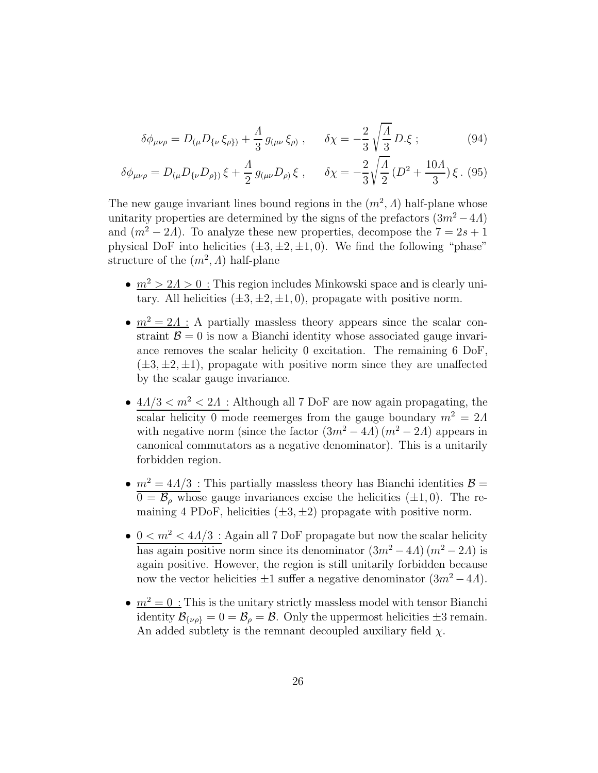$$
\delta\phi_{\mu\nu\rho} = D_{(\mu}D_{\{\nu}\xi_{\rho\})} + \frac{A}{3}g_{(\mu\nu}\xi_{\rho)} , \qquad \delta\chi = -\frac{2}{3}\sqrt{\frac{A}{3}}D.\xi ;
$$
 (94)

$$
\delta\phi_{\mu\nu\rho} = D_{(\mu}D_{\{\nu}D_{\rho\})}\xi + \frac{A}{2}g_{(\mu\nu}D_{\rho)}\xi , \quad \delta\chi = -\frac{2}{3}\sqrt{\frac{A}{2}}(D^2 + \frac{10A}{3})\xi .
$$
 (95)

The new gauge invariant lines bound regions in the  $(m^2, \Lambda)$  half-plane whose unitarity properties are determined by the signs of the prefactors  $(3m^2 - 4\Lambda)$ and  $(m^2 - 2A)$ . To analyze these new properties, decompose the  $7 = 2s + 1$ physical DoF into helicities  $(\pm 3, \pm 2, \pm 1, 0)$ . We find the following "phase" structure of the  $(m^2, \Lambda)$  half-plane

- $m^2 > 2\Lambda > 0$ : This region includes Minkowski space and is clearly unitary. All helicities  $(\pm 3, \pm 2, \pm 1, 0)$ , propagate with positive norm.
- $m^2 = 2\Lambda$ : A partially massless theory appears since the scalar constraint  $\mathcal{B} = 0$  is now a Bianchi identity whose associated gauge invariance removes the scalar helicity 0 excitation. The remaining 6 DoF,  $(\pm 3, \pm 2, \pm 1)$ , propagate with positive norm since they are unaffected by the scalar gauge invariance.
- $\bullet$   $\,4\Delta/3 < m^2 < 2\Delta\,$  : Although all 7 DoF are now again propagating, the scalar helicity 0 mode reemerges from the gauge boundary  $m^2 = 2\Lambda$ with negative norm (since the factor  $(3m^2 - 4\Lambda)(m^2 - 2\Lambda)$  appears in canonical commutators as a negative denominator). This is a unitarily forbidden region.
- $m^2 = 4A/3$ : This partially massless theory has Bianchi identities  $\mathcal{B} =$  $\overline{0 = \mathcal{B}_{\rho}}$  whose gauge invariances excise the helicities ( $\pm 1, 0$ ). The remaining 4 PDoF, helicities  $(\pm 3, \pm 2)$  propagate with positive norm.
- $0 < m^2 < 4\Lambda/3$ : Again all 7 DoF propagate but now the scalar helicity has again positive norm since its denominator  $(3m^2 - 4\Lambda)(m^2 - 2\Lambda)$  is again positive. However, the region is still unitarily forbidden because now the vector helicities  $\pm 1$  suffer a negative denominator  $(3m^2 - 4\Lambda)$ .
- $m^2 = 0$ : This is the unitary strictly massless model with tensor Bianchi identity  $\mathcal{B}_{\{\nu\rho\}} = 0 = \mathcal{B}_{\rho} = \mathcal{B}$ . Only the uppermost helicities  $\pm 3$  remain. An added subtlety is the remnant decoupled auxiliary field  $\chi$ .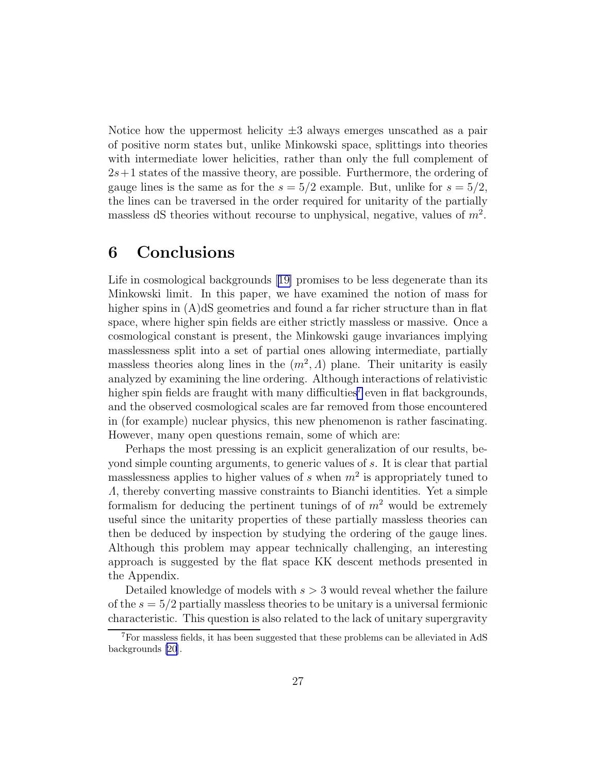Notice how the uppermost helicity  $\pm 3$  always emerges unscathed as a pair of positive norm states but, unlike Minkowski space, splittings into theories with intermediate lower helicities, rather than only the full complement of  $2s+1$  states of the massive theory, are possible. Furthermore, the ordering of gauge lines is the same as for the  $s = 5/2$  example. But, unlike for  $s = 5/2$ , the lines can be traversed in the order required for unitarity of the partially massless dS theories without recourse to unphysical, negative, values of  $m^2$ .

## 6 Conclusions

Life in cosmological backgrounds[[19\]](#page-34-0) promises to be less degenerate than its Minkowski limit. In this paper, we have examined the notion of mass for higher spins in  $(A)dS$  geometries and found a far richer structure than in flat space, where higher spin fields are either strictly massless or massive. Once a cosmological constant is present, the Minkowski gauge invariances implying masslessness split into a set of partial ones allowing intermediate, partially massless theories along lines in the  $(m^2, \Lambda)$  plane. Their unitarity is easily analyzed by examining the line ordering. Although interactions of relativistic higher spin fields are fraught with many difficulties<sup>7</sup> even in flat backgrounds, and the observed cosmological scales are far removed from those encountered in (for example) nuclear physics, this new phenomenon is rather fascinating. However, many open questions remain, some of which are:

Perhaps the most pressing is an explicit generalization of our results, beyond simple counting arguments, to generic values of s. It is clear that partial masslessness applies to higher values of s when  $m^2$  is appropriately tuned to Λ, thereby converting massive constraints to Bianchi identities. Yet a simple formalism for deducing the pertinent tunings of of  $m<sup>2</sup>$  would be extremely useful since the unitarity properties of these partially massless theories can then be deduced by inspection by studying the ordering of the gauge lines. Although this problem may appear technically challenging, an interesting approach is suggested by the flat space KK descent methods presented in the Appendix.

Detailed knowledge of models with  $s > 3$  would reveal whether the failure of the  $s = 5/2$  partially massless theories to be unitary is a universal fermionic characteristic. This question is also related to the lack of unitary supergravity

<sup>7</sup>For massless fields, it has been suggested that these problems can be alleviated in AdS backgrounds [\[20](#page-34-0)].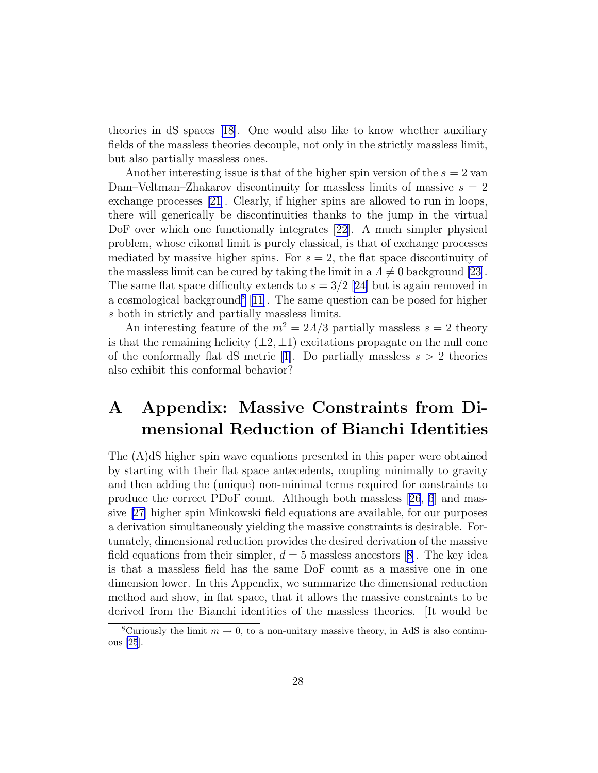theories in dS spaces [\[18\]](#page-34-0). One would also like to know whether auxiliary fields of the massless theories decouple, not only in the strictly massless limit, but also partially massless ones.

Another interesting issue is that of the higher spin version of the  $s = 2$  van Dam–Veltman–Zhakarov discontinuity for massless limits of massive  $s = 2$ exchange processes [\[21\]](#page-34-0). Clearly, if higher spins are allowed to run in loops, there will generically be discontinuities thanks to the jump in the virtual DoF over which one functionally integrates [\[22](#page-35-0)]. A much simpler physical problem, whose eikonal limit is purely classical, is that of exchange processes mediated by massive higher spins. For  $s = 2$ , the flat space discontinuity of the massless limit can be cured by taking the limit in a  $\Lambda \neq 0$  background [\[23\]](#page-35-0). The same flat space difficulty extends to  $s = 3/2$  [\[24\]](#page-35-0) but is again removed in a cosmological background<sup>8</sup> [\[11](#page-34-0)]. The same question can be posed for higher s both in strictly and partially massless limits.

An interesting feature of the  $m^2 = 2\Lambda/3$  partially massless  $s = 2$  theory is that the remaining helicity  $(\pm 2, \pm 1)$  excitations propagate on the null cone of the conformally flat dS metric [\[1](#page-33-0)]. Do partially massless  $s > 2$  theories also exhibit this conformal behavior?

# A Appendix: Massive Constraints from Dimensional Reduction of Bianchi Identities

The (A)dS higher spin wave equations presented in this paper were obtained by starting with their flat space antecedents, coupling minimally to gravity and then adding the (unique) non-minimal terms required for constraints to produce the correct PDoF count. Although both massless [\[26,](#page-35-0) [6](#page-33-0)] and massive [\[27\]](#page-35-0) higher spin Minkowski field equations are available, for our purposes a derivation simultaneously yielding the massive constraints is desirable. Fortunately, dimensional reduction provides the desired derivation of the massive fieldequations from their simpler,  $d = 5$  massless ancestors [[8\]](#page-33-0). The key idea is that a massless field has the same DoF count as a massive one in one dimension lower. In this Appendix, we summarize the dimensional reduction method and show, in flat space, that it allows the massive constraints to be derived from the Bianchi identities of the massless theories. [It would be

<sup>&</sup>lt;sup>8</sup>Curiously the limit  $m \to 0$ , to a non-unitary massive theory, in AdS is also continuous [\[25](#page-35-0)].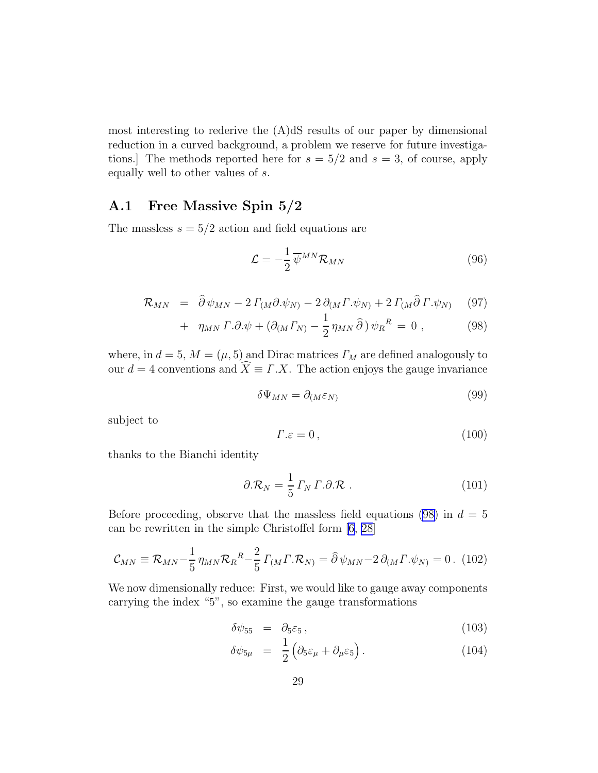<span id="page-28-0"></span>most interesting to rederive the (A)dS results of our paper by dimensional reduction in a curved background, a problem we reserve for future investigations.] The methods reported here for  $s = 5/2$  and  $s = 3$ , of course, apply equally well to other values of s.

### A.1 Free Massive Spin 5/2

The massless  $s = 5/2$  action and field equations are

$$
\mathcal{L} = -\frac{1}{2} \overline{\psi}^{MN} \mathcal{R}_{MN} \tag{96}
$$

$$
\mathcal{R}_{MN} = \hat{\partial}\psi_{MN} - 2\,\Gamma_{(M}\partial\psi_{N)} - 2\,\partial_{(M}\Gamma\psi_{N)} + 2\,\Gamma_{(M}\hat{\partial}\,\Gamma\psi_{N)} \tag{97}
$$

+ 
$$
\eta_{MN} \Gamma . \partial . \psi + (\partial_{(M} \Gamma_{N)} - \frac{1}{2} \eta_{MN} \widehat{\partial}) \psi_R^R = 0
$$
, (98)

where, in  $d = 5$ ,  $M = (\mu, 5)$  and Dirac matrices  $\Gamma_M$  are defined analogously to our  $d = 4$  conventions and  $\widehat{X} \equiv \Gamma . X$ . The action enjoys the gauge invariance

$$
\delta\Psi_{MN} = \partial_{(M}\varepsilon_N) \tag{99}
$$

subject to

$$
\Gamma \cdot \varepsilon = 0 \,, \tag{100}
$$

thanks to the Bianchi identity

$$
\partial \mathcal{R}_N = \frac{1}{5} \Gamma_N \Gamma \partial \mathcal{R} \ . \tag{101}
$$

Before proceeding, observe that the massless field equations (98) in  $d = 5$ can be rewritten in the simple Christoffel form [\[6](#page-33-0), [28\]](#page-35-0)

$$
\mathcal{C}_{MN} \equiv \mathcal{R}_{MN} - \frac{1}{5} \eta_{MN} \mathcal{R}_R{}^R - \frac{2}{5} \Gamma_M \Gamma \cdot \mathcal{R}_N = \hat{\partial} \psi_{MN} - 2 \partial_M \Gamma \cdot \psi_N = 0. \tag{102}
$$

We now dimensionally reduce: First, we would like to gauge away components carrying the index "5", so examine the gauge transformations

$$
\delta\psi_{55} = \partial_5 \varepsilon_5, \qquad (103)
$$

$$
\delta\psi_{5\mu} = \frac{1}{2} \left( \partial_5 \varepsilon_{\mu} + \partial_{\mu} \varepsilon_5 \right). \tag{104}
$$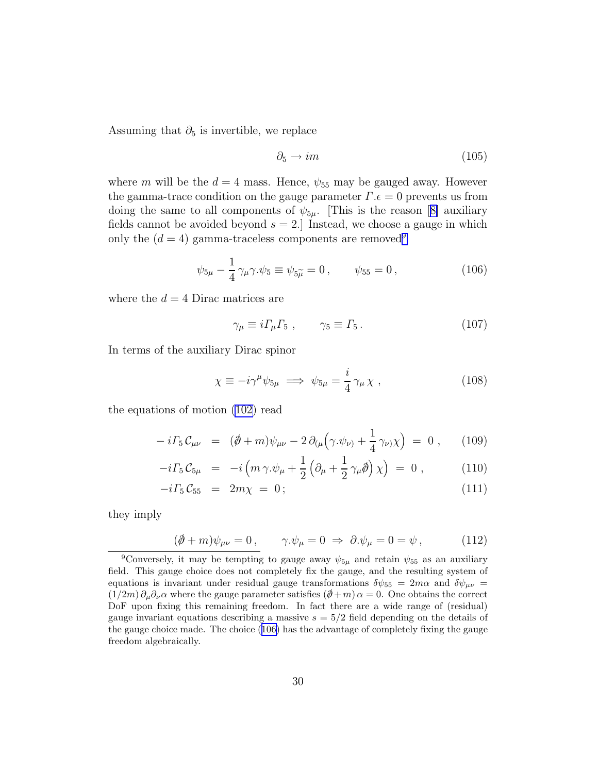<span id="page-29-0"></span>Assuming that  $\partial_5$  is invertible, we replace

$$
\partial_5 \to im \tag{105}
$$

where m will be the  $d = 4$  mass. Hence,  $\psi_{55}$  may be gauged away. However the gamma-trace condition on the gauge parameter  $\Gamma.\epsilon = 0$  prevents us from doingthe same to all components of  $\psi_{5\mu}$ . [This is the reason [[8\]](#page-33-0) auxiliary fields cannot be avoided beyond  $s = 2$ . Instead, we choose a gauge in which only the  $(d = 4)$  gamma-traceless components are removed<sup>9</sup>

$$
\psi_{5\mu} - \frac{1}{4} \gamma_{\mu} \gamma . \psi_5 \equiv \psi_{5\mu} = 0 , \qquad \psi_{55} = 0 , \qquad (106)
$$

where the  $d = 4$  Dirac matrices are

$$
\gamma_{\mu} \equiv i \Gamma_{\mu} \Gamma_5 \;, \qquad \gamma_5 \equiv \Gamma_5 \,. \tag{107}
$$

In terms of the auxiliary Dirac spinor

$$
\chi \equiv -i\gamma^{\mu}\psi_{5\mu} \implies \psi_{5\mu} = \frac{i}{4}\gamma_{\mu}\chi \ , \qquad (108)
$$

the equations of motion ([102\)](#page-28-0) read

$$
-i\Gamma_5 C_{\mu\nu} = (\partial \!\!\! /+m)\psi_{\mu\nu} - 2\,\partial_{(\mu}(\gamma.\psi_{\nu)} + \frac{1}{4}\,\gamma_{\nu)}\chi \Big) = 0 , \qquad (109)
$$

$$
-i\Gamma_5 \mathcal{C}_{5\mu} = -i\left(m\gamma.\psi_\mu + \frac{1}{2}\left(\partial_\mu + \frac{1}{2}\gamma_\mu\partial\psi\right)\chi\right) = 0 , \qquad (110)
$$

$$
-i\Gamma_5 \mathcal{C}_{55} = 2m\chi = 0; \qquad (111)
$$

they imply

$$
(\partial \!\!\! /+m)\psi_{\mu\nu}=0\,,\qquad \gamma.\psi_{\mu}=0\;\Rightarrow\;\partial.\psi_{\mu}=0=\psi\,,\qquad\qquad(112)
$$

<sup>&</sup>lt;sup>9</sup>Conversely, it may be tempting to gauge away  $\psi_{5\mu}$  and retain  $\psi_{55}$  as an auxiliary field. This gauge choice does not completely fix the gauge, and the resulting system of equations is invariant under residual gauge transformations  $\delta\psi_{55} = 2m\alpha$  and  $\delta\psi_{\mu\nu} =$  $(1/2m)\partial_\mu\partial_\nu\alpha$  where the gauge parameter satisfies  $(\partial\!\!\!/ + m)\alpha = 0$ . One obtains the correct DoF upon fixing this remaining freedom. In fact there are a wide range of (residual) gauge invariant equations describing a massive  $s = 5/2$  field depending on the details of the gauge choice made. The choice (106) has the advantage of completely fixing the gauge freedom algebraically.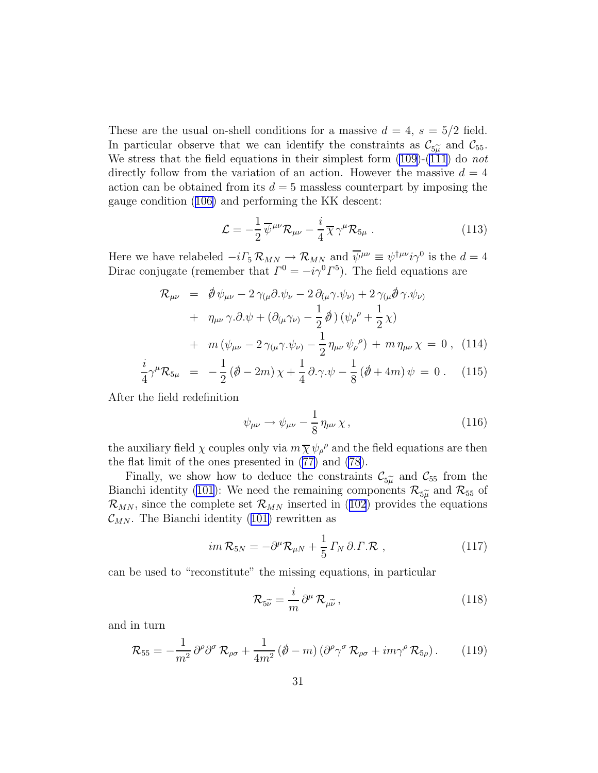<span id="page-30-0"></span>These are the usual on-shell conditions for a massive  $d = 4$ ,  $s = 5/2$  field. In particular observe that we can identify the constraints as  $\mathcal{C}_{5\tilde{\mu}}$  and  $\mathcal{C}_{55}$ .<br>We stress that the field equations in their simplest form (100) (111) do not We stress that the field equations in their simplest form  $(109)-(111)$  $(109)-(111)$  $(109)-(111)$  do not directly follow from the variation of an action. However the massive  $d = 4$ action can be obtained from its  $d = 5$  massless counterpart by imposing the gauge condition ([106\)](#page-29-0) and performing the KK descent:

$$
\mathcal{L} = -\frac{1}{2} \overline{\psi}^{\mu\nu} \mathcal{R}_{\mu\nu} - \frac{i}{4} \overline{\chi} \gamma^{\mu} \mathcal{R}_{5\mu} . \qquad (113)
$$

Here we have relabeled  $-i\Gamma_5 \mathcal{R}_{MN} \rightarrow \mathcal{R}_{MN}$  and  $\overline{\psi}^{\mu\nu} \equiv \psi^{\dagger\mu\nu} i\gamma^0$  is the  $d=4$ Dirac conjugate (remember that  $\Gamma^0 = -i\gamma^0 \Gamma^5$ ). The field equations are

$$
\mathcal{R}_{\mu\nu} = \oint \psi_{\mu\nu} - 2 \gamma_{(\mu} \partial \psi_{\nu} - 2 \partial_{(\mu} \gamma \psi_{\nu)} + 2 \gamma_{(\mu} \oint \gamma \psi_{\nu)} \n+ \eta_{\mu\nu} \gamma \partial \psi + (\partial_{(\mu} \gamma_{\nu)} - \frac{1}{2} \oint) (\psi_{\rho}^{\rho} + \frac{1}{2} \chi) \n+ m (\psi_{\mu\nu} - 2 \gamma_{(\mu} \gamma \psi_{\nu)} - \frac{1}{2} \eta_{\mu\nu} \psi_{\rho}^{\rho}) + m \eta_{\mu\nu} \chi = 0, (114)
$$

$$
\frac{i}{4}\gamma^{\mu}\mathcal{R}_{5\mu} = -\frac{1}{2}(\hat{\phi} - 2m)\chi + \frac{1}{4}\partial.\gamma.\psi - \frac{1}{8}(\hat{\phi} + 4m)\psi = 0.
$$
 (115)

After the field redefinition

$$
\psi_{\mu\nu} \to \psi_{\mu\nu} - \frac{1}{8} \eta_{\mu\nu} \chi, \qquad (116)
$$

the auxiliary field  $\chi$  couples only via  $m \overline{\chi} \psi_{\rho}{}^{\rho}$  and the field equations are then the flat limit of the ones presented in ([77\)](#page-21-0) and [\(78](#page-21-0)).

Finally, we show how to deduce the constraints  $\mathcal{C}_{5\tilde{\mu}}$  and  $\mathcal{C}_{55}$  from the noble identity (101). We need the remaining components  $\mathcal{P}_{\mu}$  and  $\mathcal{P}_{\mu}$ Bianchi identity [\(101](#page-28-0)): We need the remaining components  $\mathcal{R}_{5\tilde{\mu}}$  and  $\mathcal{R}_{55}$  of  $\mathcal{R}_{\text{new}}$  since the complete set  $\mathcal{R}_{\text{new}}$  inserted in (102) provides the counting  $\mathcal{R}_{MN}$ , since the complete set  $\mathcal{R}_{MN}$  inserted in ([102](#page-28-0)) provides the equations  $\mathcal{C}_{MN}$ . The Bianchi identity ([101\)](#page-28-0) rewritten as

$$
im\,\mathcal{R}_{5N} = -\partial^{\mu}\mathcal{R}_{\mu N} + \frac{1}{5}\,\Gamma_N\,\partial.\Gamma.\mathcal{R} \;, \tag{117}
$$

can be used to "reconstitute" the missing equations, in particular

$$
\mathcal{R}_{5\widetilde{\nu}} = \frac{i}{m} \partial^{\mu} \mathcal{R}_{\mu \widetilde{\nu}}, \qquad (118)
$$

and in turn

$$
\mathcal{R}_{55} = -\frac{1}{m^2} \partial^{\rho} \partial^{\sigma} \mathcal{R}_{\rho \sigma} + \frac{1}{4m^2} (\partial^{\rho} - m) (\partial^{\rho} \gamma^{\sigma} \mathcal{R}_{\rho \sigma} + i m \gamma^{\rho} \mathcal{R}_{5\rho}). \tag{119}
$$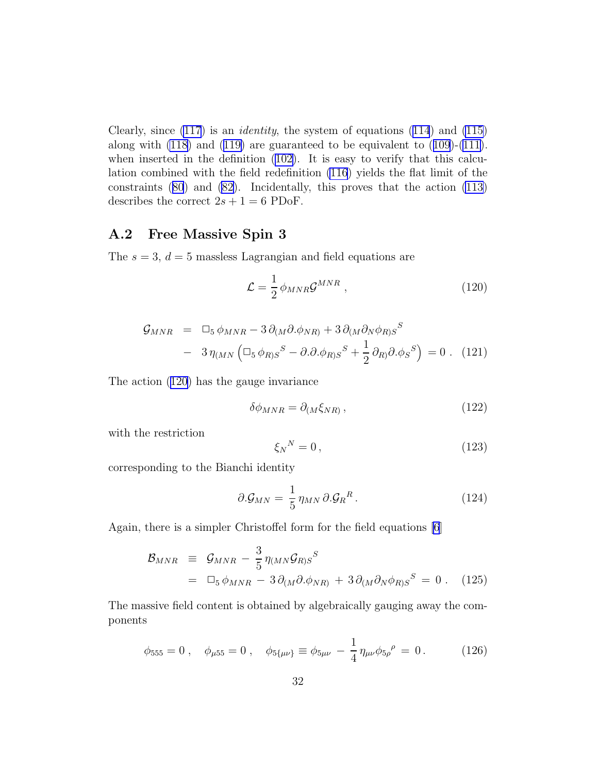<span id="page-31-0"></span>Clearly, since  $(117)$  $(117)$  is an *identity*, the system of equations  $(114)$  $(114)$  $(114)$  and  $(115)$ along with [\(118](#page-30-0)) and ([119\)](#page-30-0) are guaranteed to be equivalent to ([109](#page-29-0))-[\(111\)](#page-29-0). when inserted in the definition  $(102)$ . It is easy to verify that this calculation combined with the field redefinition [\(116](#page-30-0)) yields the flat limit of the constraints ([80](#page-22-0)) and [\(82](#page-22-0)). Incidentally, this proves that the action [\(113\)](#page-30-0) describes the correct  $2s + 1 = 6$  PDoF.

### A.2 Free Massive Spin 3

The  $s = 3$ ,  $d = 5$  massless Lagrangian and field equations are

$$
\mathcal{L} = \frac{1}{2} \phi_{MNR} \mathcal{G}^{MNR} \;, \tag{120}
$$

$$
\mathcal{G}_{MNR} = \Box_5 \phi_{MNR} - 3 \partial_{(M} \partial \phi_{NR)} + 3 \partial_{(M} \partial_N \phi_{R)S}^S
$$
  
- 3  $\eta_{(MN} (\Box_5 \phi_{R)S}^S - \partial \partial \phi_{R)S}^S + \frac{1}{2} \partial_{R)} \partial \phi_{S}^S = 0$ . (121)

The action (120) has the gauge invariance

$$
\delta\phi_{MNR} = \partial_{(M}\xi_{NR)},\qquad(122)
$$

with the restriction

$$
\xi_N{}^N = 0\,,\tag{123}
$$

corresponding to the Bianchi identity

$$
\partial \mathcal{G}_{MN} = \frac{1}{5} \eta_{MN} \partial \mathcal{G}_R^R. \tag{124}
$$

Again, there is a simpler Christoffel form for the field equations [\[6](#page-33-0)]

$$
\mathcal{B}_{MNR} \equiv \mathcal{G}_{MNR} - \frac{3}{5} \eta_{(MN} \mathcal{G}_{R)S}^S
$$
  
=  $\Box_5 \phi_{MNR} - 3 \partial_{(M} \partial \phi_{NR)} + 3 \partial_{(M} \partial_N \phi_{R)S}^S = 0$ . (125)

The massive field content is obtained by algebraically gauging away the components

$$
\phi_{555} = 0 \,, \quad \phi_{\mu 55} = 0 \,, \quad \phi_{5\{\mu\nu\}} \equiv \phi_{5\mu\nu} - \frac{1}{4} \eta_{\mu\nu} \phi_{5\rho}{}^{\rho} = 0 \,. \tag{126}
$$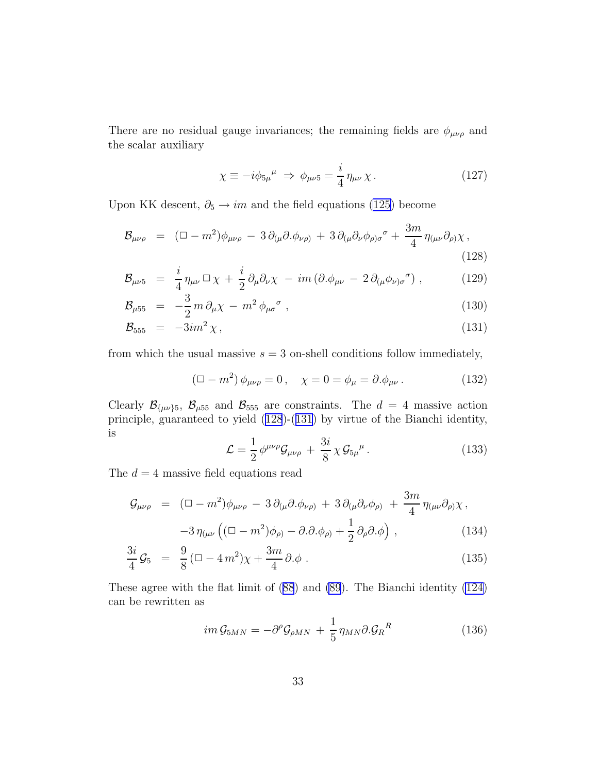<span id="page-32-0"></span>There are no residual gauge invariances; the remaining fields are  $\phi_{\mu\nu\rho}$  and the scalar auxiliary

$$
\chi \equiv -i\phi_{5\mu}{}^{\mu} \Rightarrow \phi_{\mu\nu 5} = \frac{i}{4} \eta_{\mu\nu} \chi \,. \tag{127}
$$

Upon KK descent,  $\partial_5 \rightarrow im$  and the field equations [\(125\)](#page-31-0) become

$$
\mathcal{B}_{\mu\nu\rho} = (\Box - m^2) \phi_{\mu\nu\rho} - 3 \partial_{(\mu} \partial_{\nu} \phi_{\nu\rho)} + 3 \partial_{(\mu} \partial_{\nu} \phi_{\rho) \sigma}^{\sigma} + \frac{3m}{4} \eta_{(\mu\nu} \partial_{\rho)} \chi \,,
$$
\n(128)

$$
\mathcal{B}_{\mu\nu 5} = \frac{i}{4} \eta_{\mu\nu} \Box \chi + \frac{i}{2} \partial_{\mu} \partial_{\nu} \chi - im \left( \partial . \phi_{\mu\nu} - 2 \partial_{(\mu} \phi_{\nu) \sigma}{}^{\sigma} \right), \tag{129}
$$

$$
\mathcal{B}_{\mu 55} = -\frac{3}{2} m \partial_{\mu} \chi - m^2 \phi_{\mu \sigma}{}^{\sigma} , \qquad (130)
$$

$$
\mathcal{B}_{555} = -3im^2 \chi, \tag{131}
$$

from which the usual massive  $s = 3$  on-shell conditions follow immediately,

$$
(\Box - m^2) \phi_{\mu\nu\rho} = 0, \quad \chi = 0 = \phi_{\mu} = \partial_{\mu} \phi_{\mu\nu}.
$$
 (132)

Clearly  $\mathcal{B}_{\{\mu\nu\},5}$ ,  $\mathcal{B}_{\mu55}$  and  $\mathcal{B}_{555}$  are constraints. The  $d = 4$  massive action principle, guaranteed to yield (128)-(131) by virtue of the Bianchi identity, is

$$
\mathcal{L} = \frac{1}{2} \phi^{\mu\nu\rho} \mathcal{G}_{\mu\nu\rho} + \frac{3i}{8} \chi \mathcal{G}_{5\mu}{}^{\mu}.
$$
 (133)

The  $d = 4$  massive field equations read

$$
\mathcal{G}_{\mu\nu\rho} = (\Box - m^2) \phi_{\mu\nu\rho} - 3 \partial_{(\mu} \partial_{\nu} \phi_{\nu\rho)} + 3 \partial_{(\mu} \partial_{\nu} \phi_{\rho)} + \frac{3m}{4} \eta_{(\mu\nu} \partial_{\rho)} \chi,
$$
  

$$
-3 \eta_{(\mu\nu} \left( (\Box - m^2) \phi_{\rho)} - \partial_{\nu} \partial_{\nu} \phi_{\rho} + \frac{1}{2} \partial_{\rho} \partial_{\nu} \phi \right), \qquad (134)
$$

$$
\frac{3i}{4}\mathcal{G}_5 = \frac{9}{8}(\square - 4\,m^2)\chi + \frac{3m}{4}\partial.\phi \,. \tag{135}
$$

These agree with the flat limit of ([88](#page-24-0)) and [\(89](#page-24-0)). The Bianchi identity [\(124\)](#page-31-0) can be rewritten as

$$
im\,\mathcal{G}_{5MN} = -\partial^{\rho}\mathcal{G}_{\rho MN} + \frac{1}{5}\,\eta_{MN}\partial\mathcal{G}_{R}{}^{R} \tag{136}
$$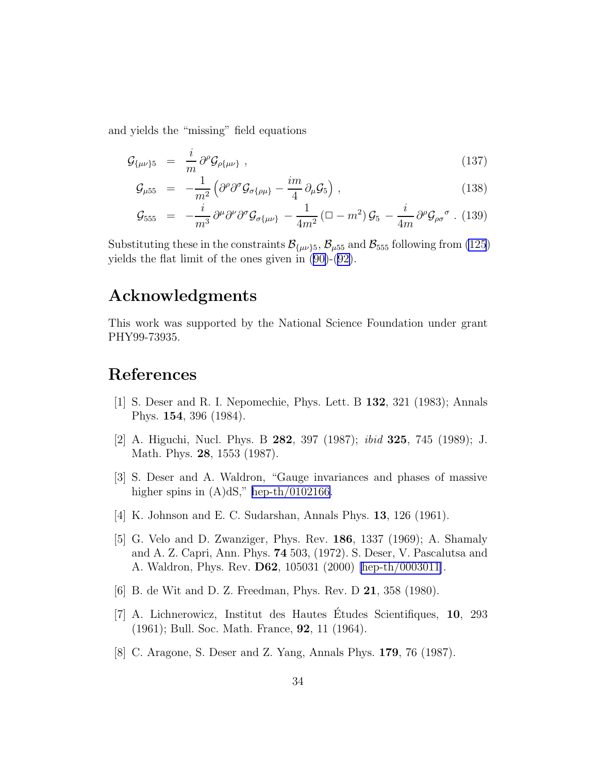<span id="page-33-0"></span>and yields the "missing" field equations

$$
\mathcal{G}_{\{\mu\nu\}5} = \frac{i}{m} \partial^{\rho} \mathcal{G}_{\rho\{\mu\nu\}}, \qquad (137)
$$

$$
\mathcal{G}_{\mu 55} = -\frac{1}{m^2} \left( \partial^{\rho} \partial^{\sigma} \mathcal{G}_{\sigma \{\rho \mu\}} - \frac{im}{4} \partial_{\mu} \mathcal{G}_{5} \right) , \qquad (138)
$$

$$
\mathcal{G}_{555} = -\frac{i}{m^3} \partial^{\mu} \partial^{\nu} \partial^{\sigma} \mathcal{G}_{\sigma\{\mu\nu\}} - \frac{1}{4m^2} \left( \Box - m^2 \right) \mathcal{G}_{5} - \frac{i}{4m} \partial^{\rho} \mathcal{G}_{\rho\sigma}{}^{\sigma} \ . \ (139)
$$

Substituting these in the constraints  $\mathcal{B}_{\{\mu\nu\}5}$ ,  $\mathcal{B}_{\mu 55}$  and  $\mathcal{B}_{555}$  following from [\(125](#page-31-0)) yields the flat limit of the ones given in [\(90\)](#page-24-0)-([92\)](#page-24-0).

# Acknowledgments

This work was supported by the National Science Foundation under grant PHY99-73935.

# References

- [1] S. Deser and R. I. Nepomechie, Phys. Lett. B 132, 321 (1983); Annals Phys. 154, 396 (1984).
- [2] A. Higuchi, Nucl. Phys. B 282, 397 (1987); ibid 325, 745 (1989); J. Math. Phys. 28, 1553 (1987).
- [3] S. Deser and A. Waldron, "Gauge invariances and phases of massive higher spins in  $(A)dS$ ," [hep-th/0102166.](http://arXiv.org/abs/hep-th/0102166)
- [4] K. Johnson and E. C. Sudarshan, Annals Phys. 13, 126 (1961).
- [5] G. Velo and D. Zwanziger, Phys. Rev. 186, 1337 (1969); A. Shamaly and A. Z. Capri, Ann. Phys. 74 503, (1972). S. Deser, V. Pascalutsa and A. Waldron, Phys. Rev. D62, 105031 (2000) [\[hep-th/0003011\]](http://arXiv.org/abs/hep-th/0003011).
- [6] B. de Wit and D. Z. Freedman, Phys. Rev. D 21, 358 (1980).
- [7] A. Lichnerowicz, Institut des Hautes Etudes Scientifiques, 10, 293 (1961); Bull. Soc. Math. France, 92, 11 (1964).
- [8] C. Aragone, S. Deser and Z. Yang, Annals Phys. 179, 76 (1987).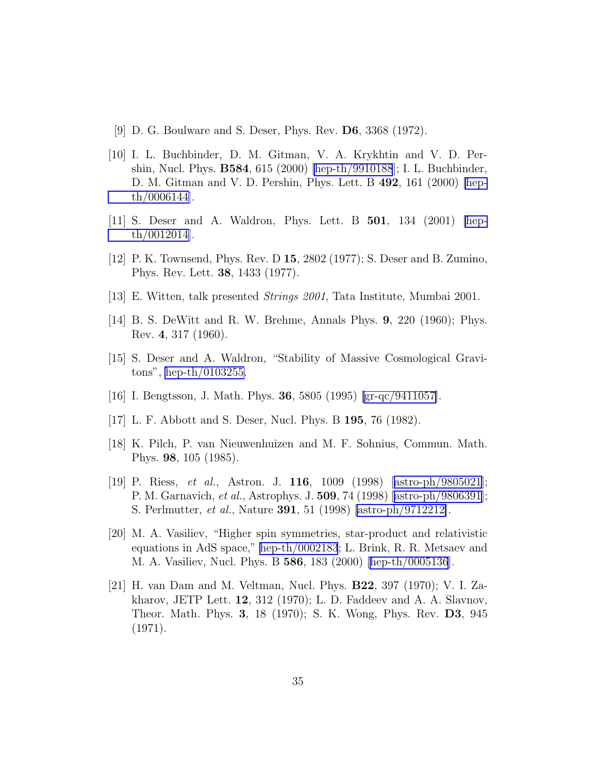- <span id="page-34-0"></span>[9] D. G. Boulware and S. Deser, Phys. Rev. D6, 3368 (1972).
- [10] I. L. Buchbinder, D. M. Gitman, V. A. Krykhtin and V. D. Pershin, Nucl. Phys. B584, 615 (2000) [\[hep-th/9910188](http://arXiv.org/abs/hep-th/9910188)]; I. L. Buchbinder, D. M. Gitman and V. D. Pershin, Phys. Lett. B 492, 161 (2000) [\[hep](http://arXiv.org/abs/hep-th/0006144)[th/0006144](http://arXiv.org/abs/hep-th/0006144)].
- [11] S. Deser and A. Waldron, Phys. Lett. B 501, 134 (2001) [\[hep](http://arXiv.org/abs/hep-th/0012014)[th/0012014](http://arXiv.org/abs/hep-th/0012014)].
- [12] P. K. Townsend, Phys. Rev. D 15, 2802 (1977); S. Deser and B. Zumino, Phys. Rev. Lett. 38, 1433 (1977).
- [13] E. Witten, talk presented Strings 2001, Tata Institute, Mumbai 2001.
- [14] B. S. DeWitt and R. W. Brehme, Annals Phys. 9, 220 (1960); Phys. Rev. 4, 317 (1960).
- [15] S. Deser and A. Waldron, "Stability of Massive Cosmological Gravitons", [hep-th/0103255.](http://arXiv.org/abs/hep-th/0103255)
- [16] I. Bengtsson, J. Math. Phys. 36, 5805 (1995) [\[gr-qc/9411057\]](http://arXiv.org/abs/gr-qc/9411057).
- [17] L. F. Abbott and S. Deser, Nucl. Phys. B 195, 76 (1982).
- [18] K. Pilch, P. van Nieuwenhuizen and M. F. Sohnius, Commun. Math. Phys. 98, 105 (1985).
- [19] P. Riess, et al., Astron. J. 116, 1009 (1998)[[astro-ph/9805021](http://arXiv.org/abs/astro-ph/9805021)]; P. M. Garnavich, et al., Astrophys. J. 509, 74 (1998)[[astro-ph/9806391](http://arXiv.org/abs/astro-ph/9806391)]; S. Perlmutter, et al., Nature 391, 51 (1998) [\[astro-ph/9712212\]](http://arXiv.org/abs/astro-ph/9712212).
- [20] M. A. Vasiliev, "Higher spin symmetries, star-product and relativistic equations in AdS space," [hep-th/0002183](http://arXiv.org/abs/hep-th/0002183); L. Brink, R. R. Metsaev and M. A. Vasiliev, Nucl. Phys. B 586, 183 (2000) [\[hep-th/0005136](http://arXiv.org/abs/hep-th/0005136)].
- [21] H. van Dam and M. Veltman, Nucl. Phys. B22, 397 (1970); V. I. Zakharov, JETP Lett. 12, 312 (1970); L. D. Faddeev and A. A. Slavnov, Theor. Math. Phys. 3, 18 (1970); S. K. Wong, Phys. Rev. D3, 945 (1971).